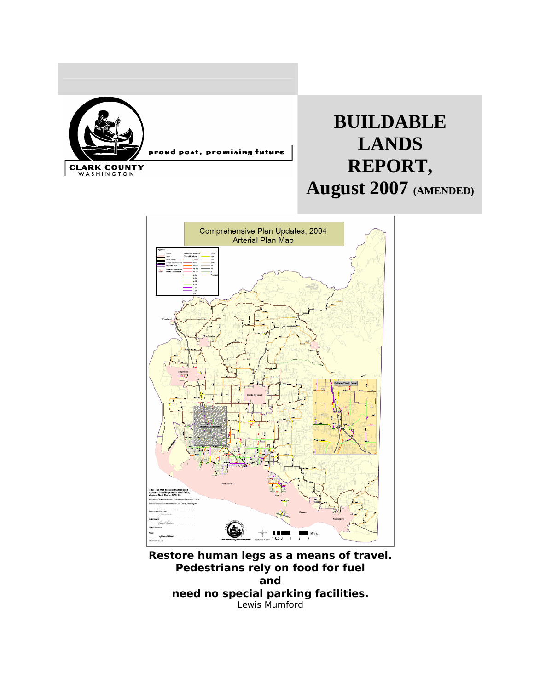

# **BUILDABLE LANDS REPORT, August 2007 (AMENDED)**



**Restore human legs as a means of travel. Pedestrians rely on food for fuel and need no special parking facilities.**  Lewis Mumford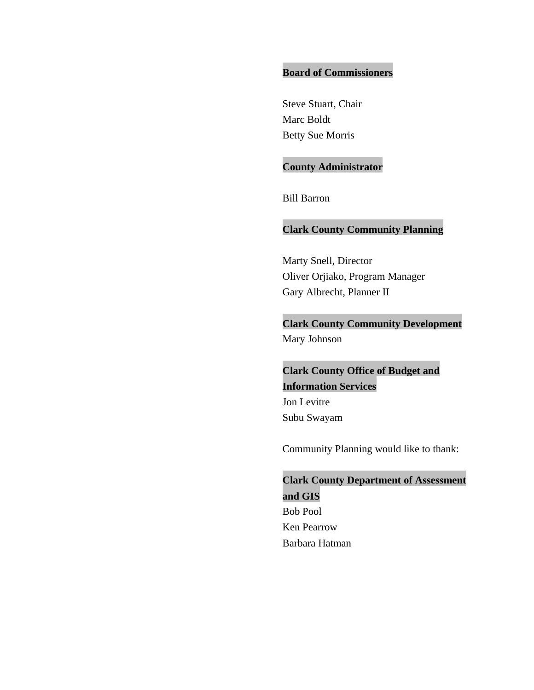#### **Board of Commissioners**

Steve Stuart, Chair Marc Boldt Betty Sue Morris

## **County Administrator**

Bill Barron

#### **Clark County Community Planning**

Marty Snell, Director Oliver Orjiako, Program Manager Gary Albrecht, Planner II

**Clark County Community Development**  Mary Johnson

**Clark County Office of Budget and Information Services**  Jon Levitre Subu Swayam

Community Planning would like to thank:

**Clark County Department of Assessment and GIS**  Bob Pool Ken Pearrow Barbara Hatman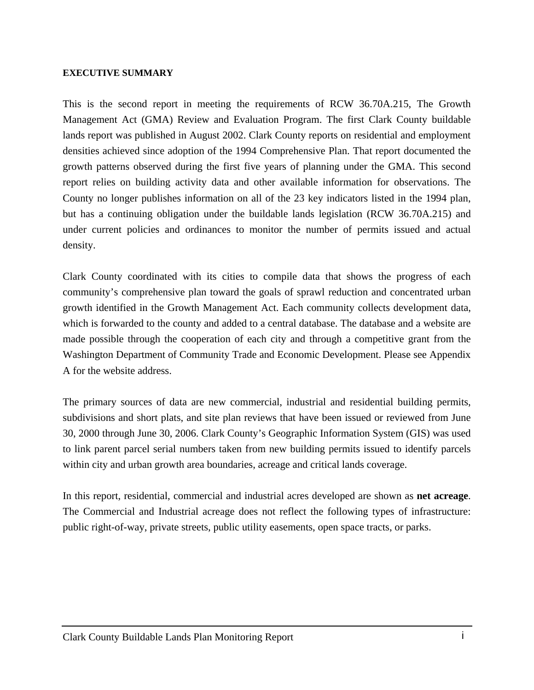#### **EXECUTIVE SUMMARY**

This is the second report in meeting the requirements of RCW 36.70A.215, The Growth Management Act (GMA) Review and Evaluation Program. The first Clark County buildable lands report was published in August 2002. Clark County reports on residential and employment densities achieved since adoption of the 1994 Comprehensive Plan. That report documented the growth patterns observed during the first five years of planning under the GMA. This second report relies on building activity data and other available information for observations. The County no longer publishes information on all of the 23 key indicators listed in the 1994 plan, but has a continuing obligation under the buildable lands legislation (RCW 36.70A.215) and under current policies and ordinances to monitor the number of permits issued and actual density.

Clark County coordinated with its cities to compile data that shows the progress of each community's comprehensive plan toward the goals of sprawl reduction and concentrated urban growth identified in the Growth Management Act. Each community collects development data, which is forwarded to the county and added to a central database. The database and a website are made possible through the cooperation of each city and through a competitive grant from the Washington Department of Community Trade and Economic Development. Please see Appendix A for the website address.

The primary sources of data are new commercial, industrial and residential building permits, subdivisions and short plats, and site plan reviews that have been issued or reviewed from June 30, 2000 through June 30, 2006. Clark County's Geographic Information System (GIS) was used to link parent parcel serial numbers taken from new building permits issued to identify parcels within city and urban growth area boundaries, acreage and critical lands coverage.

In this report, residential, commercial and industrial acres developed are shown as **net acreage**. The Commercial and Industrial acreage does not reflect the following types of infrastructure: public right-of-way, private streets, public utility easements, open space tracts, or parks.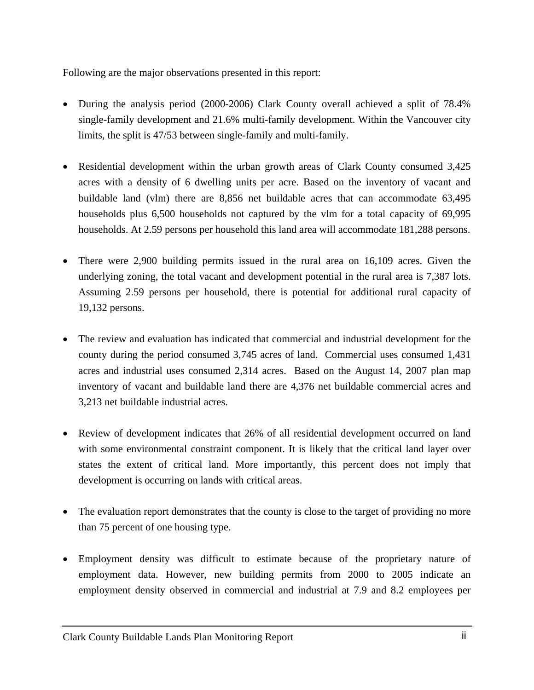Following are the major observations presented in this report:

- During the analysis period (2000-2006) Clark County overall achieved a split of 78.4% single-family development and 21.6% multi-family development. Within the Vancouver city limits, the split is 47/53 between single-family and multi-family.
- Residential development within the urban growth areas of Clark County consumed 3,425 acres with a density of 6 dwelling units per acre. Based on the inventory of vacant and buildable land (vlm) there are 8,856 net buildable acres that can accommodate 63,495 households plus 6,500 households not captured by the vlm for a total capacity of 69,995 households. At 2.59 persons per household this land area will accommodate 181,288 persons.
- There were 2,900 building permits issued in the rural area on 16,109 acres. Given the underlying zoning, the total vacant and development potential in the rural area is 7,387 lots. Assuming 2.59 persons per household, there is potential for additional rural capacity of 19,132 persons.
- The review and evaluation has indicated that commercial and industrial development for the county during the period consumed 3,745 acres of land. Commercial uses consumed 1,431 acres and industrial uses consumed 2,314 acres. Based on the August 14, 2007 plan map inventory of vacant and buildable land there are 4,376 net buildable commercial acres and 3,213 net buildable industrial acres.
- Review of development indicates that 26% of all residential development occurred on land with some environmental constraint component. It is likely that the critical land layer over states the extent of critical land. More importantly, this percent does not imply that development is occurring on lands with critical areas.
- The evaluation report demonstrates that the county is close to the target of providing no more than 75 percent of one housing type.
- Employment density was difficult to estimate because of the proprietary nature of employment data. However, new building permits from 2000 to 2005 indicate an employment density observed in commercial and industrial at 7.9 and 8.2 employees per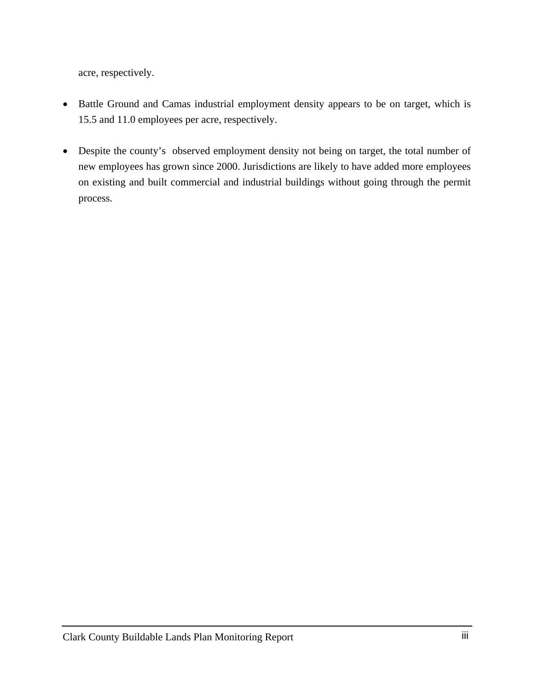acre, respectively.

- Battle Ground and Camas industrial employment density appears to be on target, which is 15.5 and 11.0 employees per acre, respectively.
- Despite the county's observed employment density not being on target, the total number of new employees has grown since 2000. Jurisdictions are likely to have added more employees on existing and built commercial and industrial buildings without going through the permit process.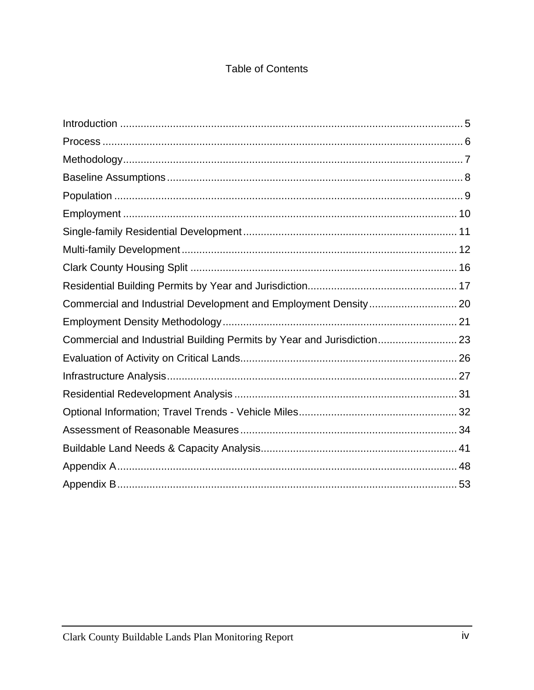# **Table of Contents**

| Commercial and Industrial Building Permits by Year and Jurisdiction 23 |  |
|------------------------------------------------------------------------|--|
|                                                                        |  |
|                                                                        |  |
|                                                                        |  |
|                                                                        |  |
|                                                                        |  |
|                                                                        |  |
|                                                                        |  |
|                                                                        |  |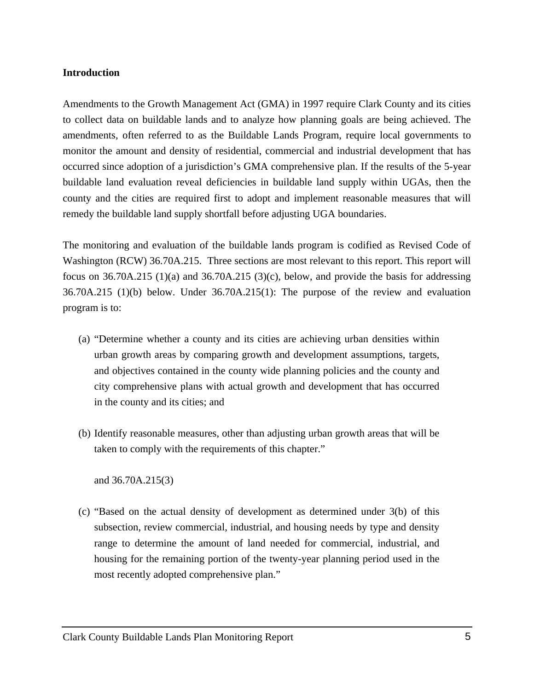#### <span id="page-6-0"></span>**Introduction**

Amendments to the Growth Management Act (GMA) in 1997 require Clark County and its cities to collect data on buildable lands and to analyze how planning goals are being achieved. The amendments, often referred to as the Buildable Lands Program, require local governments to monitor the amount and density of residential, commercial and industrial development that has occurred since adoption of a jurisdiction's GMA comprehensive plan. If the results of the 5-year buildable land evaluation reveal deficiencies in buildable land supply within UGAs, then the county and the cities are required first to adopt and implement reasonable measures that will remedy the buildable land supply shortfall before adjusting UGA boundaries.

The monitoring and evaluation of the buildable lands program is codified as Revised Code of Washington (RCW) 36.70A.215. Three sections are most relevant to this report. This report will focus on  $36.70A.215(1)(a)$  and  $36.70A.215(3)(c)$ , below, and provide the basis for addressing 36.70A.215 (1)(b) below. Under 36.70A.215(1): The purpose of the review and evaluation program is to:

- (a) "Determine whether a county and its cities are achieving urban densities within urban growth areas by comparing growth and development assumptions, targets, and objectives contained in the county wide planning policies and the county and city comprehensive plans with actual growth and development that has occurred in the county and its cities; and
- (b) Identify reasonable measures, other than adjusting urban growth areas that will be taken to comply with the requirements of this chapter."

and 36.70A.215(3)

(c) "Based on the actual density of development as determined under 3(b) of this subsection, review commercial, industrial, and housing needs by type and density range to determine the amount of land needed for commercial, industrial, and housing for the remaining portion of the twenty-year planning period used in the most recently adopted comprehensive plan."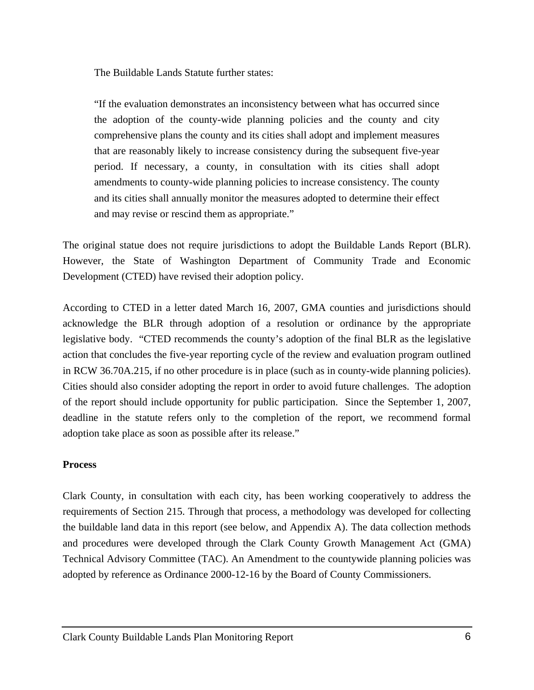<span id="page-7-0"></span>The Buildable Lands Statute further states:

"If the evaluation demonstrates an inconsistency between what has occurred since the adoption of the county-wide planning policies and the county and city comprehensive plans the county and its cities shall adopt and implement measures that are reasonably likely to increase consistency during the subsequent five-year period. If necessary, a county, in consultation with its cities shall adopt amendments to county-wide planning policies to increase consistency. The county and its cities shall annually monitor the measures adopted to determine their effect and may revise or rescind them as appropriate."

The original statue does not require jurisdictions to adopt the Buildable Lands Report (BLR). However, the State of Washington Department of Community Trade and Economic Development (CTED) have revised their adoption policy.

According to CTED in a letter dated March 16, 2007, GMA counties and jurisdictions should acknowledge the BLR through adoption of a resolution or ordinance by the appropriate legislative body. "CTED recommends the county's adoption of the final BLR as the legislative action that concludes the five-year reporting cycle of the review and evaluation program outlined in RCW 36.70A.215, if no other procedure is in place (such as in county-wide planning policies). Cities should also consider adopting the report in order to avoid future challenges. The adoption of the report should include opportunity for public participation. Since the September 1, 2007, deadline in the statute refers only to the completion of the report, we recommend formal adoption take place as soon as possible after its release."

#### **Process**

Clark County, in consultation with each city, has been working cooperatively to address the requirements of Section 215. Through that process, a methodology was developed for collecting the buildable land data in this report (see below, and Appendix A). The data collection methods and procedures were developed through the Clark County Growth Management Act (GMA) Technical Advisory Committee (TAC). An Amendment to the countywide planning policies was adopted by reference as Ordinance 2000-12-16 by the Board of County Commissioners.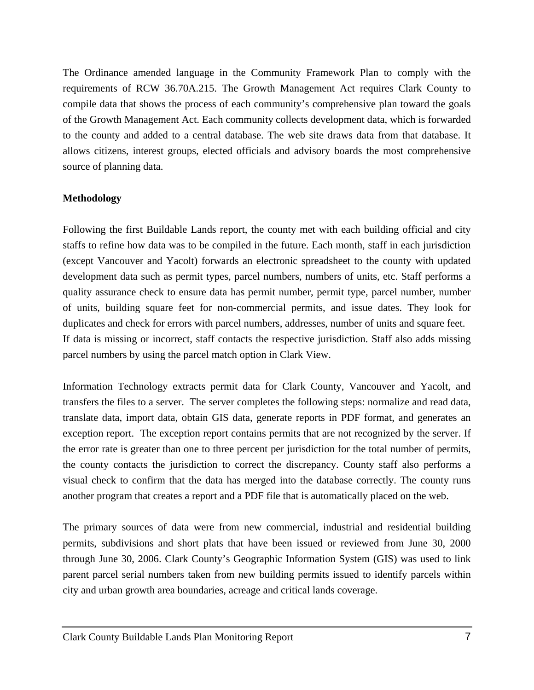<span id="page-8-0"></span>The Ordinance amended language in the Community Framework Plan to comply with the requirements of RCW 36.70A.215. The Growth Management Act requires Clark County to compile data that shows the process of each community's comprehensive plan toward the goals of the Growth Management Act. Each community collects development data, which is forwarded to the county and added to a central database. The web site draws data from that database. It allows citizens, interest groups, elected officials and advisory boards the most comprehensive source of planning data.

#### **Methodology**

Following the first Buildable Lands report, the county met with each building official and city staffs to refine how data was to be compiled in the future. Each month, staff in each jurisdiction (except Vancouver and Yacolt) forwards an electronic spreadsheet to the county with updated development data such as permit types, parcel numbers, numbers of units, etc. Staff performs a quality assurance check to ensure data has permit number, permit type, parcel number, number of units, building square feet for non-commercial permits, and issue dates. They look for duplicates and check for errors with parcel numbers, addresses, number of units and square feet. If data is missing or incorrect, staff contacts the respective jurisdiction. Staff also adds missing parcel numbers by using the parcel match option in Clark View.

Information Technology extracts permit data for Clark County, Vancouver and Yacolt, and transfers the files to a server. The server completes the following steps: normalize and read data, translate data, import data, obtain GIS data, generate reports in PDF format, and generates an exception report. The exception report contains permits that are not recognized by the server. If the error rate is greater than one to three percent per jurisdiction for the total number of permits, the county contacts the jurisdiction to correct the discrepancy. County staff also performs a visual check to confirm that the data has merged into the database correctly. The county runs another program that creates a report and a PDF file that is automatically placed on the web.

The primary sources of data were from new commercial, industrial and residential building permits, subdivisions and short plats that have been issued or reviewed from June 30, 2000 through June 30, 2006. Clark County's Geographic Information System (GIS) was used to link parent parcel serial numbers taken from new building permits issued to identify parcels within city and urban growth area boundaries, acreage and critical lands coverage.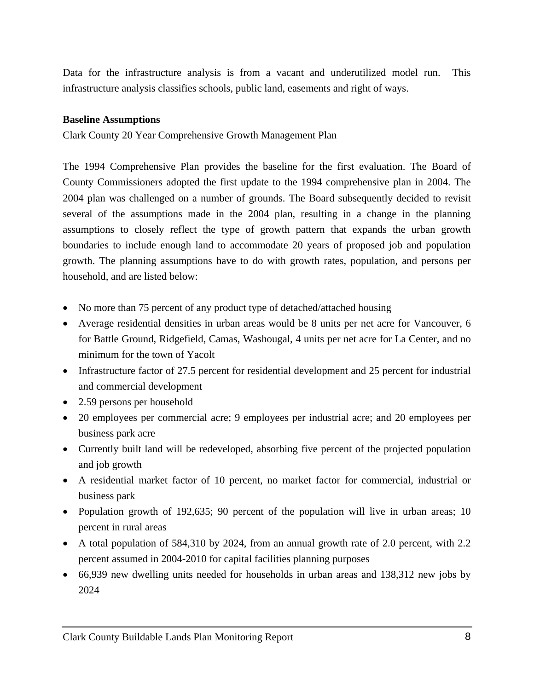<span id="page-9-0"></span>Data for the infrastructure analysis is from a vacant and underutilized model run. This infrastructure analysis classifies schools, public land, easements and right of ways.

#### **Baseline Assumptions**

Clark County 20 Year Comprehensive Growth Management Plan

The 1994 Comprehensive Plan provides the baseline for the first evaluation. The Board of County Commissioners adopted the first update to the 1994 comprehensive plan in 2004. The 2004 plan was challenged on a number of grounds. The Board subsequently decided to revisit several of the assumptions made in the 2004 plan, resulting in a change in the planning assumptions to closely reflect the type of growth pattern that expands the urban growth boundaries to include enough land to accommodate 20 years of proposed job and population growth. The planning assumptions have to do with growth rates, population, and persons per household, and are listed below:

- No more than 75 percent of any product type of detached/attached housing
- Average residential densities in urban areas would be 8 units per net acre for Vancouver, 6 for Battle Ground, Ridgefield, Camas, Washougal, 4 units per net acre for La Center, and no minimum for the town of Yacolt
- Infrastructure factor of 27.5 percent for residential development and 25 percent for industrial and commercial development
- 2.59 persons per household
- 20 employees per commercial acre; 9 employees per industrial acre; and 20 employees per business park acre
- Currently built land will be redeveloped, absorbing five percent of the projected population and job growth
- A residential market factor of 10 percent, no market factor for commercial, industrial or business park
- Population growth of 192,635; 90 percent of the population will live in urban areas; 10 percent in rural areas
- A total population of 584,310 by 2024, from an annual growth rate of 2.0 percent, with 2.2 percent assumed in 2004-2010 for capital facilities planning purposes
- 66,939 new dwelling units needed for households in urban areas and 138,312 new jobs by 2024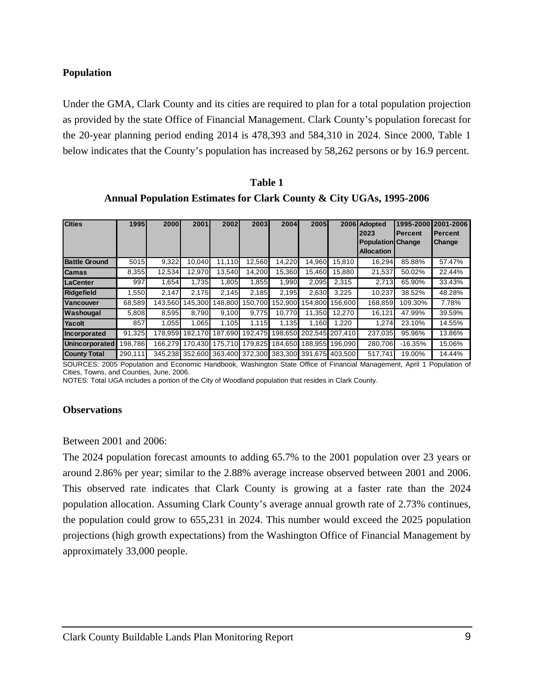# <span id="page-10-0"></span>**Population**

Under the GMA, Clark County and its cities are required to plan for a total population projection as provided by the state Office of Financial Management. Clark County's population forecast for the 20-year planning period ending 2014 is 478,393 and 584,310 in 2024. Since 2000, Table 1 below indicates that the County's population has increased by 58,262 persons or by 16.9 percent.

| Table 1                                                             |  |
|---------------------------------------------------------------------|--|
| Annual Population Estimates for Clark County & City UGAs, 1995-2006 |  |

| <b>Cities</b>         | 1995    | <b>2000</b> | 2001            | 2002            | 2003    | 2004    | 2005 <sub>I</sub>       |         | 2006 Adopted             | 1995-2000 | 2001-2006     |
|-----------------------|---------|-------------|-----------------|-----------------|---------|---------|-------------------------|---------|--------------------------|-----------|---------------|
|                       |         |             |                 |                 |         |         |                         |         | 2023                     | Percent   | Percent       |
|                       |         |             |                 |                 |         |         |                         |         | <b>Population Change</b> |           | <b>Change</b> |
|                       |         |             |                 |                 |         |         |                         |         | <b>Allocation</b>        |           |               |
| <b>Battle Ground</b>  | 5015    | 9,322       | 10.040          | 11.110          | 12.560  | 14,220  | 14.960                  | 15.810  | 16,294                   | 85.88%    | 57.47%        |
| <b>Camas</b>          | 8,355   | 12.534      | 12.970          | 13.540          | 14.200  | 15.360  | 15.460                  | 15.880  | 21.537                   | 50.02%    | 22.44%        |
| <b>LaCenter</b>       | 997     | 1,654       | 1.735           | 1.805           | 1,855   | 1.990   | 2,095                   | 2,315   | 2,713                    | 65.90%    | 33.43%        |
| <b>Ridgefield</b>     | .550    | 2.147       | 2.175           | 2.145           | 2.185   | 2.195   | 2,630                   | 3,225   | 10,237                   | 38.52%    | 48.28%        |
| <b>Vancouver</b>      | 68,589  | 143.560     | 145.300         | 148.800         | 50.700  | 152.900 | 154.800                 | 156.600 | 168.859                  | 109.30%   | 7.78%         |
| Washougal             | 5,808   | 8.595       | 8.790           | 9.100           | 9.775   | 10.770  | 11.350                  | 12.270  | 16,121                   | 47.99%    | 39.59%        |
| Yacolt                | 857     | 1.055       | 1,065           | 1.105           | 1.115   | 1.135   | 1.160                   | 1.220   | 1,274                    | 23.10%    | 14.55%        |
| Incorporated          | 91.325  | 178.959     | 182.170         | 187.690         | 192.475 |         | 198,650 202,545 207,410 |         | 237.035                  | 95.96%    | 13.86%        |
| <b>Unincorporated</b> | 198.786 |             | 166.279 170.430 | 175.710         | 179.825 |         | 184.650 188.955 196.090 |         | 280.706                  | $-16.35%$ | 15.06%        |
| <b>County Total</b>   | 290,111 |             | 345,238 352,600 | 363.400 372.300 |         |         | 383.300 391.675 403.500 |         | 517,741                  | 19.00%    | 14.44%        |

SOURCES: 2005 Population and Economic Handbook, Washington State Office of Financial Management, April 1 Population of Cities, Towns, and Counties, June, 2006.

NOTES: Total UGA includes a portion of the City of Woodland population that resides in Clark County.

#### **Observations**

Between 2001 and 2006:

The 2024 population forecast amounts to adding 65.7% to the 2001 population over 23 years or around 2.86% per year; similar to the 2.88% average increase observed between 2001 and 2006. This observed rate indicates that Clark County is growing at a faster rate than the 2024 population allocation. Assuming Clark County's average annual growth rate of 2.73% continues, the population could grow to 655,231 in 2024. This number would exceed the 2025 population projections (high growth expectations) from the Washington Office of Financial Management by approximately 33,000 people.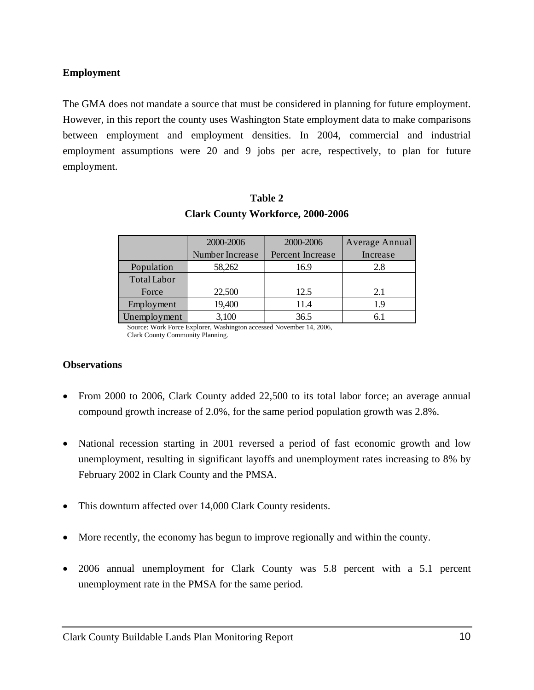### <span id="page-11-0"></span>**Employment**

The GMA does not mandate a source that must be considered in planning for future employment. However, in this report the county uses Washington State employment data to make comparisons between employment and employment densities. In 2004, commercial and industrial employment assumptions were 20 and 9 jobs per acre, respectively, to plan for future employment.

|                    | 2000-2006       | 2000-2006        | Average Annual |
|--------------------|-----------------|------------------|----------------|
|                    | Number Increase | Percent Increase | Increase       |
| Population         | 58,262          | 16.9             | 2.8            |
| <b>Total Labor</b> |                 |                  |                |
| Force              | 22,500          | 12.5             | 2.1            |
| Employment         | 19,400          | 11.4             | 19             |
| Unemployment       | 3,100           | 36.5             |                |

# **Table 2 Clark County Workforce, 2000-2006**

 Source: Work Force Explorer, Washington accessed November 14, 2006, Clark County Community Planning.

#### **Observations**

- From 2000 to 2006, Clark County added 22,500 to its total labor force; an average annual compound growth increase of 2.0%, for the same period population growth was 2.8%.
- National recession starting in 2001 reversed a period of fast economic growth and low unemployment, resulting in significant layoffs and unemployment rates increasing to 8% by February 2002 in Clark County and the PMSA.
- This downturn affected over 14,000 Clark County residents.
- More recently, the economy has begun to improve regionally and within the county.
- 2006 annual unemployment for Clark County was 5.8 percent with a 5.1 percent unemployment rate in the PMSA for the same period.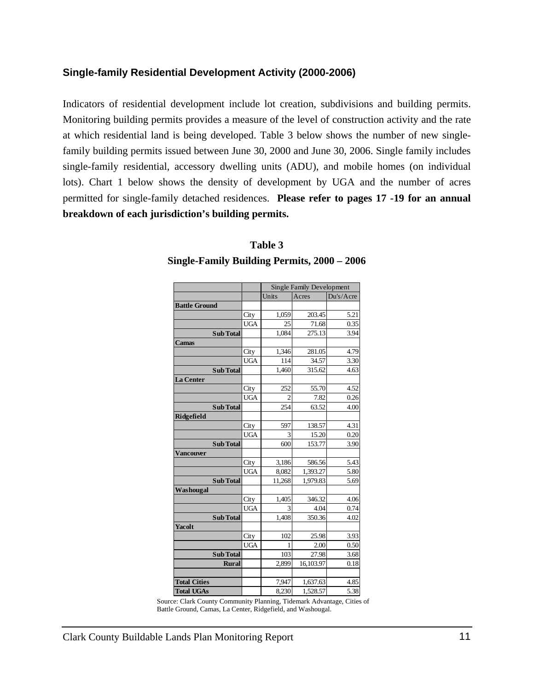### <span id="page-12-0"></span>**Single-family Residential Development Activity (2000-2006)**

Indicators of residential development include lot creation, subdivisions and building permits. Monitoring building permits provides a measure of the level of construction activity and the rate at which residential land is being developed. Table 3 below shows the number of new singlefamily building permits issued between June 30, 2000 and June 30, 2006. Single family includes single-family residential, accessory dwelling units (ADU), and mobile homes (on individual lots). Chart 1 below shows the density of development by UGA and the number of acres permitted for single-family detached residences. **Please refer to pages 17 -19 for an annual breakdown of each jurisdiction's building permits.** 

|                      |            |        | <b>Single Family Development</b> |           |
|----------------------|------------|--------|----------------------------------|-----------|
|                      |            | Units  | Acres                            | Du's/Acre |
| <b>Battle Ground</b> |            |        |                                  |           |
|                      | City       | 1,059  | 203.45                           | 5.21      |
|                      | <b>UGA</b> | 25     | 71.68                            | 0.35      |
| <b>Sub Total</b>     |            | 1,084  | 275.13                           | 3.94      |
| <b>Camas</b>         |            |        |                                  |           |
|                      | City       | 1,346  | 281.05                           | 4.79      |
|                      | <b>UGA</b> | 114    | 34.57                            | 3.30      |
| <b>Sub Total</b>     |            | 1,460  | 315.62                           | 4.63      |
| <b>La Center</b>     |            |        |                                  |           |
|                      | City       | 252    | 55.70                            | 4.52      |
|                      | <b>UGA</b> | 2      | 7.82                             | 0.26      |
| <b>Sub Total</b>     |            | 254    | 63.52                            | 4.00      |
| Ridgefield           |            |        |                                  |           |
|                      | City       | 597    | 138.57                           | 4.31      |
|                      | <b>UGA</b> | 3      | 15.20                            | 0.20      |
| <b>Sub Total</b>     |            | 600    | 153.77                           | 3.90      |
| Vancouver            |            |        |                                  |           |
|                      | City       | 3,186  | 586.56                           | 5.43      |
|                      | <b>UGA</b> | 8,082  | 1,393.27                         | 5.80      |
| <b>Sub Total</b>     |            | 11,268 | 1,979.83                         | 5.69      |
| Washougal            |            |        |                                  |           |
|                      | City       | 1,405  | 346.32                           | 4.06      |
|                      | <b>UGA</b> | 3      | 4.04                             | 0.74      |
| <b>Sub Total</b>     |            | 1,408  | 350.36                           | 4.02      |
| <b>Yacolt</b>        |            |        |                                  |           |
|                      | City       | 102    | 25.98                            | 3.93      |
|                      | <b>UGA</b> | 1      | 2.00                             | 0.50      |
| <b>Sub Total</b>     |            | 103    | 27.98                            | 3.68      |
| <b>Rural</b>         |            | 2,899  | 16,103.97                        | 0.18      |
| <b>Total Cities</b>  |            | 7,947  | 1,637.63                         | 4.85      |
| <b>Total UGAs</b>    |            | 8,230  | 1,528.57                         | 5.38      |

# **Table 3 Single-Family Building Permits, 2000 – 2006**

 Source: Clark County Community Planning, Tidemark Advantage, Cities of Battle Ground, Camas, La Center, Ridgefield, and Washougal.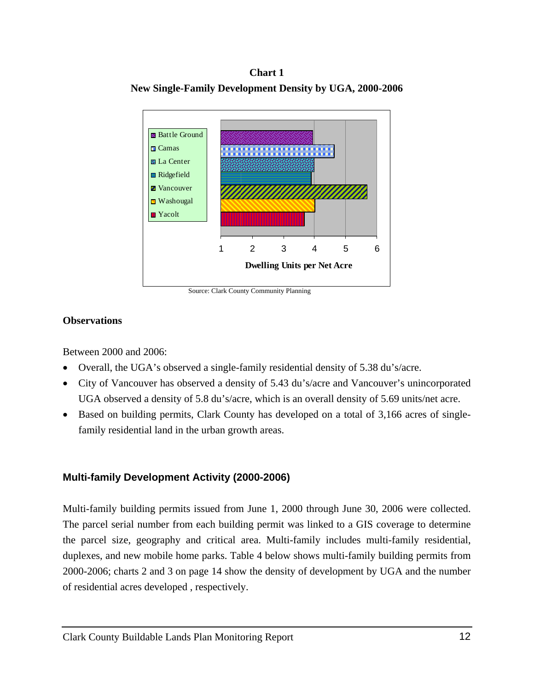#### **Chart 1**

<span id="page-13-0"></span>**New Single-Family Development Density by UGA, 2000-2006** 



Source: Clark County Community Planning

#### **Observations**

Between 2000 and 2006:

- Overall, the UGA's observed a single-family residential density of 5.38 du's/acre.
- City of Vancouver has observed a density of 5.43 du's/acre and Vancouver's unincorporated UGA observed a density of 5.8 du's/acre, which is an overall density of 5.69 units/net acre.
- Based on building permits, Clark County has developed on a total of 3,166 acres of singlefamily residential land in the urban growth areas.

# **Multi-family Development Activity (2000-2006)**

Multi-family building permits issued from June 1, 2000 through June 30, 2006 were collected. The parcel serial number from each building permit was linked to a GIS coverage to determine the parcel size, geography and critical area. Multi-family includes multi-family residential, duplexes, and new mobile home parks. Table 4 below shows multi-family building permits from 2000-2006; charts 2 and 3 on page 14 show the density of development by UGA and the number of residential acres developed , respectively.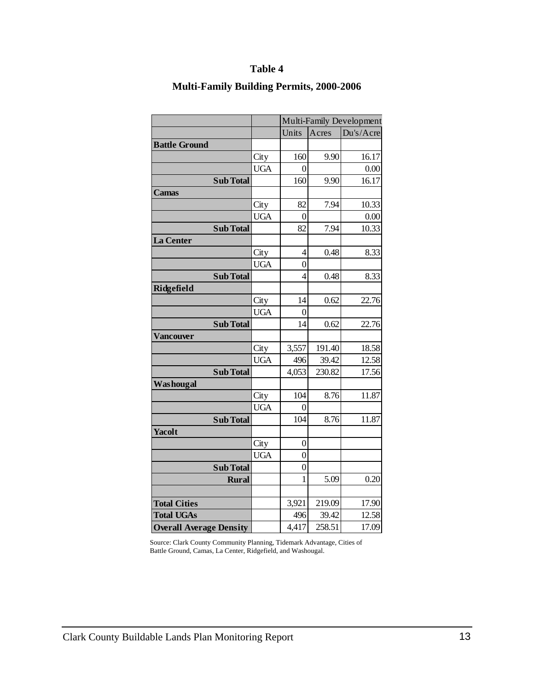|                                |            |                  |        | Multi-Family Development |
|--------------------------------|------------|------------------|--------|--------------------------|
|                                |            | Units            | Acres  | Du's/Acre                |
| <b>Battle Ground</b>           |            |                  |        |                          |
|                                | City       | 160              | 9.90   | 16.17                    |
|                                | <b>UGA</b> | $\overline{0}$   |        | 0.00                     |
| <b>Sub Total</b>               |            | 160              | 9.90   | 16.17                    |
| <b>Camas</b>                   |            |                  |        |                          |
|                                | City       | 82               | 7.94   | 10.33                    |
|                                | <b>UGA</b> | $\overline{0}$   |        | 0.00                     |
| <b>Sub Total</b>               |            | 82               | 7.94   | 10.33                    |
| La Center                      |            |                  |        |                          |
|                                | City       | 4                | 0.48   | 8.33                     |
|                                | <b>UGA</b> | $\overline{0}$   |        |                          |
| <b>Sub Total</b>               |            | $\overline{4}$   | 0.48   | 8.33                     |
| Ridgefield                     |            |                  |        |                          |
|                                | City       | 14               | 0.62   | 22.76                    |
|                                | <b>UGA</b> | $\overline{0}$   |        |                          |
| <b>Sub Total</b>               |            | 14               | 0.62   | 22.76                    |
| Vancouver                      |            |                  |        |                          |
|                                | City       | 3,557            | 191.40 | 18.58                    |
|                                | <b>UGA</b> | 496              | 39.42  | 12.58                    |
| <b>Sub Total</b>               |            | 4,053            | 230.82 | 17.56                    |
| Washougal                      |            |                  |        |                          |
|                                | City       | 104              | 8.76   | 11.87                    |
|                                | <b>UGA</b> | 0                |        |                          |
| <b>Sub Total</b>               |            | 104              | 8.76   | 11.87                    |
| Yacolt                         |            |                  |        |                          |
|                                | City       | $\boldsymbol{0}$ |        |                          |
|                                | <b>UGA</b> | $\overline{0}$   |        |                          |
| <b>Sub Total</b>               |            | $\overline{0}$   |        |                          |
| <b>Rural</b>                   |            | 1                | 5.09   | 0.20                     |
|                                |            |                  |        |                          |
| <b>Total Cities</b>            |            | 3,921            | 219.09 | 17.90                    |
| <b>Total UGAs</b>              |            | 496              | 39.42  | 12.58                    |
| <b>Overall Average Density</b> |            | 4,417            | 258.51 | 17.09                    |

# **Table 4**

### **Multi-Family Building Permits, 2000-2006**

 Source: Clark County Community Planning, Tidemark Advantage, Cities of Battle Ground, Camas, La Center, Ridgefield, and Washougal.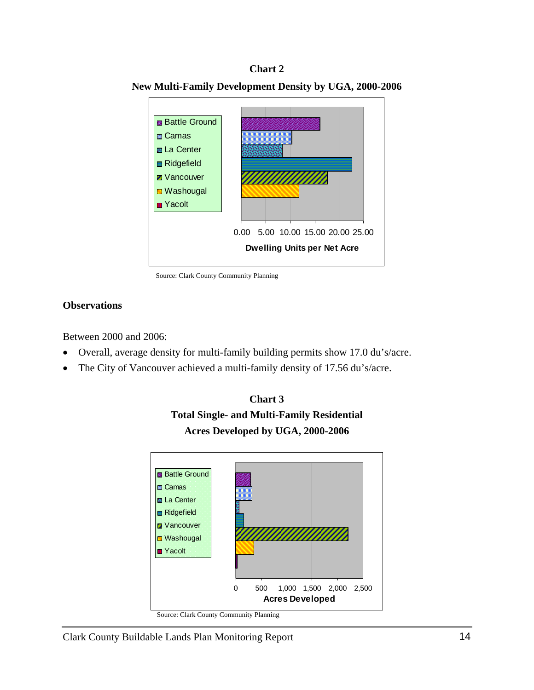#### **Chart 2**



**New Multi-Family Development Density by UGA, 2000-2006** 

Source: Clark County Community Planning

#### **Observations**

Between 2000 and 2006:

- Overall, average density for multi-family building permits show 17.0 du's/acre.
- The City of Vancouver achieved a multi-family density of 17.56 du's/acre.



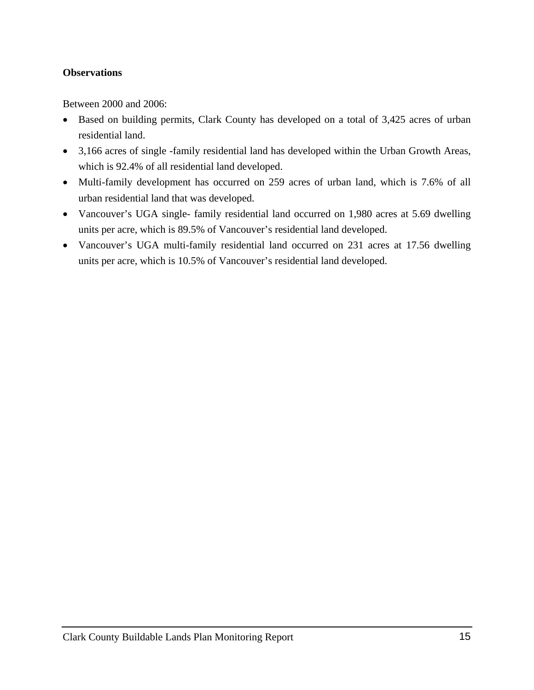# **Observations**

Between 2000 and 2006:

- Based on building permits, Clark County has developed on a total of 3,425 acres of urban residential land.
- 3,166 acres of single -family residential land has developed within the Urban Growth Areas, which is 92.4% of all residential land developed.
- Multi-family development has occurred on 259 acres of urban land, which is 7.6% of all urban residential land that was developed.
- Vancouver's UGA single- family residential land occurred on 1,980 acres at 5.69 dwelling units per acre, which is 89.5% of Vancouver's residential land developed.
- Vancouver's UGA multi-family residential land occurred on 231 acres at 17.56 dwelling units per acre, which is 10.5% of Vancouver's residential land developed.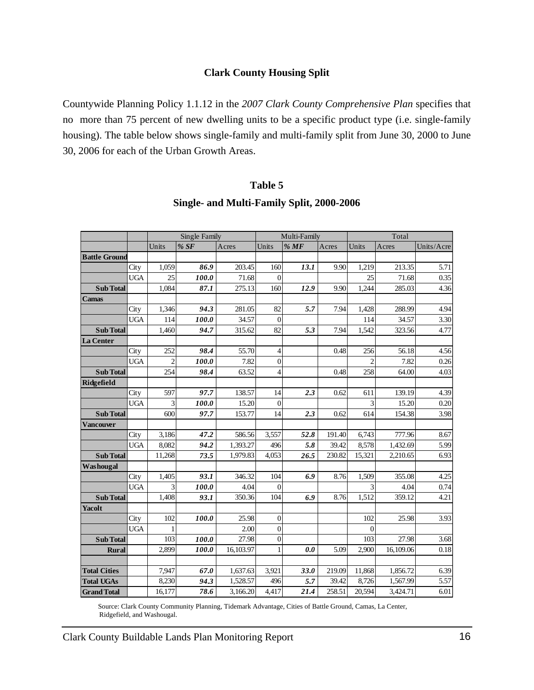#### **Clark County Housing Split**

<span id="page-17-0"></span>Countywide Planning Policy 1.1.12 in the *2007 Clark County Comprehensive Plan* specifies that no more than 75 percent of new dwelling units to be a specific product type (i.e. single-family housing). The table below shows single-family and multi-family split from June 30, 2000 to June 30, 2006 for each of the Urban Growth Areas.

#### **Table 5**

|                      |            |                | Single Family |           |                | Multi-Family |        |                | Total     |            |
|----------------------|------------|----------------|---------------|-----------|----------------|--------------|--------|----------------|-----------|------------|
|                      |            | Units          | % SF          | Acres     | Units          | %MF          | Acres  | Units          | Acres     | Units/Acre |
| <b>Battle Ground</b> |            |                |               |           |                |              |        |                |           |            |
|                      | City       | 1,059          | 86.9          | 203.45    | 160            | 13.1         | 9.90   | 1,219          | 213.35    | 5.71       |
|                      | <b>UGA</b> | 25             | 100.0         | 71.68     | $\Omega$       |              |        | 25             | 71.68     | 0.35       |
| <b>Sub Total</b>     |            | 1,084          | 87.1          | 275.13    | 160            | 12.9         | 9.90   | 1,244          | 285.03    | 4.36       |
| <b>Camas</b>         |            |                |               |           |                |              |        |                |           |            |
|                      | City       | 1,346          | 94.3          | 281.05    | 82             | 5.7          | 7.94   | 1.428          | 288.99    | 4.94       |
|                      | <b>UGA</b> | 114            | 100.0         | 34.57     | $\Omega$       |              |        | 114            | 34.57     | 3.30       |
| <b>Sub Total</b>     |            | 1,460          | 94.7          | 315.62    | 82             | 5.3          | 7.94   | 1,542          | 323.56    | 4.77       |
| La Center            |            |                |               |           |                |              |        |                |           |            |
|                      | City       | 252            | 98.4          | 55.70     | 4              |              | 0.48   | 256            | 56.18     | 4.56       |
|                      | <b>UGA</b> | $\overline{2}$ | 100.0         | 7.82      | $\overline{0}$ |              |        | $\overline{c}$ | 7.82      | 0.26       |
| <b>Sub Total</b>     |            | 254            | 98.4          | 63.52     | 4              |              | 0.48   | 258            | 64.00     | 4.03       |
| Ridgefield           |            |                |               |           |                |              |        |                |           |            |
|                      | City       | 597            | 97.7          | 138.57    | 14             | 2.3          | 0.62   | 611            | 139.19    | 4.39       |
|                      | <b>UGA</b> | 3              | 100.0         | 15.20     | $\Omega$       |              |        | 3              | 15.20     | 0.20       |
| <b>Sub Total</b>     |            | 600            | 97.7          | 153.77    | 14             | 2.3          | 0.62   | 614            | 154.38    | 3.98       |
| <b>Vancouver</b>     |            |                |               |           |                |              |        |                |           |            |
|                      | City       | 3,186          | 47.2          | 586.56    | 3,557          | 52.8         | 191.40 | 6,743          | 777.96    | 8.67       |
|                      | <b>UGA</b> | 8,082          | 94.2          | 1,393.27  | 496            | 5.8          | 39.42  | 8,578          | 1,432.69  | 5.99       |
| <b>Sub Total</b>     |            | 11,268         | 73.5          | 1,979.83  | 4,053          | 26.5         | 230.82 | 15,321         | 2,210.65  | 6.93       |
| Washougal            |            |                |               |           |                |              |        |                |           |            |
|                      | City       | 1,405          | 93.1          | 346.32    | 104            | 6.9          | 8.76   | 1,509          | 355.08    | 4.25       |
|                      | <b>UGA</b> | 3              | 100.0         | 4.04      | $\overline{0}$ |              |        | 3              | 4.04      | 0.74       |
| <b>Sub Total</b>     |            | 1.408          | 93.1          | 350.36    | 104            | 6.9          | 8.76   | 1.512          | 359.12    | 4.21       |
| <b>Yacolt</b>        |            |                |               |           |                |              |        |                |           |            |
|                      | City       | 102            | 100.0         | 25.98     | $\overline{0}$ |              |        | 102            | 25.98     | 3.93       |
|                      | <b>UGA</b> | 1              |               | 2.00      | $\Omega$       |              |        | $\theta$       |           |            |
| <b>Sub Total</b>     |            | 103            | 100.0         | 27.98     | $\overline{0}$ |              |        | 103            | 27.98     | 3.68       |
| <b>Rural</b>         |            | 2,899          | 100.0         | 16,103.97 |                | 0.0          | 5.09   | 2,900          | 16,109.06 | 0.18       |
|                      |            |                |               |           |                |              |        |                |           |            |
| <b>Total Cities</b>  |            | 7,947          | 67.0          | 1,637.63  | 3,921          | 33.0         | 219.09 | 11,868         | 1.856.72  | 6.39       |
| <b>Total UGAs</b>    |            | 8,230          | 94.3          | 1,528.57  | 496            | 5.7          | 39.42  | 8,726          | 1,567.99  | 5.57       |
| <b>Grand Total</b>   |            | 16,177         | 78.6          | 3,166.20  | 4,417          | 21.4         | 258.51 | 20,594         | 3,424.71  | 6.01       |

#### **Single- and Multi-Family Split, 2000-2006**

Source: Clark County Community Planning, Tidemark Advantage, Cities of Battle Ground, Camas, La Center, Ridgefield, and Washougal.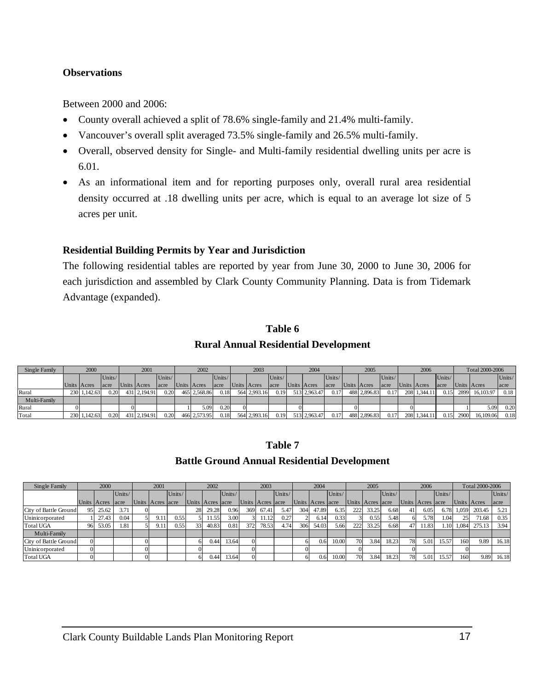#### <span id="page-18-0"></span>**Observations**

Between 2000 and 2006:

- County overall achieved a split of 78.6% single-family and 21.4% multi-family.
- Vancouver's overall split averaged 73.5% single-family and 26.5% multi-family.
- Overall, observed density for Single- and Multi-family residential dwelling units per acre is 6.01.
- As an informational item and for reporting purposes only, overall rural area residential density occurred at .18 dwelling units per acre, which is equal to an average lot size of 5 acres per unit.

# **Residential Building Permits by Year and Jurisdiction**

The following residential tables are reported by year from June 30, 2000 to June 30, 2006 for each jurisdiction and assembled by Clark County Community Planning. Data is from Tidemark Advantage (expanded).

#### **Table 6**

### **Rural Annual Residential Development**

| Single Family | 2000         |        |             | 2001         |        |             | 2002         |        |             | 2003         |        |             | 2004         |                 |             | 2005         |        |             | 2006        |        |             | Total 2000-2006 |        |
|---------------|--------------|--------|-------------|--------------|--------|-------------|--------------|--------|-------------|--------------|--------|-------------|--------------|-----------------|-------------|--------------|--------|-------------|-------------|--------|-------------|-----------------|--------|
|               |              | Units/ |             |              | Units/ |             |              | Units/ |             |              | Units/ |             |              | $ Units\rangle$ |             |              | Units/ |             |             | Units/ |             |                 | Units/ |
|               | Units Acres  | acre   | Units Acres |              | acre   | Units Acres |              | acre   | Units Acres |              | acre   | Units Acres |              | lacre           | Units Acres |              | lacre  | Units Acres |             | acre   | Units Acres |                 | acre   |
| Rural         | 230 1,142.63 | 0.20   |             | 431 2,194.91 | 0.20   |             | 465 2.568.86 | 0.18   |             | 564 2,993.16 | 0.19   |             | 513 2.963.47 | 0.17            |             | 488 2,896.83 | 0.17   |             | 208 1.344.1 | 0.15   | 2899        | 16,103.97       | 0.18   |
| Multi-Family  |              |        |             |              |        |             |              |        |             |              |        |             |              |                 |             |              |        |             |             |        |             |                 |        |
| Rural         |              |        |             |              |        |             | 5.09         | 0.20   |             |              |        |             |              |                 |             |              |        |             |             |        |             | 5.09            | 0.20   |
| Total         | 230 1,142.63 | 0.20   |             | 431 2,194.91 | 0.20   |             | 466 2,573.95 | 0.18   |             | 564 2,993.16 | 0.19   |             | 513 2,963.47 | 0.17            |             | 488 2,896.83 | 0.17   |             | 208 1,344.1 | 0.15   | 2900        | 16,109.06       | 0.18   |

#### **Table 7**

# **Battle Ground Annual Residential Development**

| Single Family         |          | 2000        |        | 2001             |        |    | 2002             |        |     | 2003             |        |     | 2004             |        |     | 2005             |        |    | 2006             |                  |       | Total 2000-2006 |        |
|-----------------------|----------|-------------|--------|------------------|--------|----|------------------|--------|-----|------------------|--------|-----|------------------|--------|-----|------------------|--------|----|------------------|------------------|-------|-----------------|--------|
|                       |          |             | Units/ |                  | Units/ |    |                  | Units/ |     |                  | Units/ |     |                  | Units/ |     |                  | Units/ |    |                  | Units/           |       |                 | Units/ |
|                       |          | Units Acres | lacre  | Units Acres acre |        |    | Units Acres acre |        |     | Units Acres acre |        |     | Units Acres acre |        |     | Units Acres acre |        |    | Units Acres acre |                  |       | Units Acres     | lacre  |
| City of Battle Ground | 95       | 25.62       | 3.71   |                  |        | 28 | 29.28            | 0.96   | 369 | 67.41            | 5.47   | 304 | 47.89            | 6.35   | 222 | 33.25            | 6.68   | 41 | 6.05             | 6.78             | 1.059 | 203.45          | 5.21   |
| Uninicorporated       |          | 27.43       | 0.04   | 9.11             | 0.55   |    | 1.55             | 3.00   |     | 11.12            | 0.27   |     | 6.14             | 0.33   |     | 0.55             | 5.48   |    | 5.78             | 1.04             | 25    | 71.68           | 0.35   |
| <b>Total UGA</b>      | 96       | 53.05       | 1.81   | 9.11             | 0.55   | 33 | 40.83            | 0.81   | 372 | 78.53            | 4.74   | 306 | 54.03            | 5.66   | 222 | 33.25            | 6.68   | 47 | 1.83             | .10 <sup>1</sup> | 1.084 | 275.13          | 3.94   |
| Multi-Family          |          |             |        |                  |        |    |                  |        |     |                  |        |     |                  |        |     |                  |        |    |                  |                  |       |                 |        |
| City of Battle Ground | $\Omega$ |             |        |                  |        |    | 0.44             | 13.64  |     |                  |        |     | 0.6              | 10.00  | 70  | 3.84             | 18.23  | 78 | 5.01             | 15.57            | 160   | 9.89            | 16.18  |
| Uninicorporated       | $\Omega$ |             |        |                  |        |    |                  |        |     |                  |        |     |                  |        |     |                  |        |    |                  |                  |       |                 |        |
| <b>Total UGA</b>      | $\Omega$ |             |        |                  |        |    | 0.44             | 13.64  |     |                  |        |     | 0.6              | 10.00  | 70. | 3.84             | 18.23  | 78 | 5.01             | 15.57            | 160   | 9.89            | 16.18  |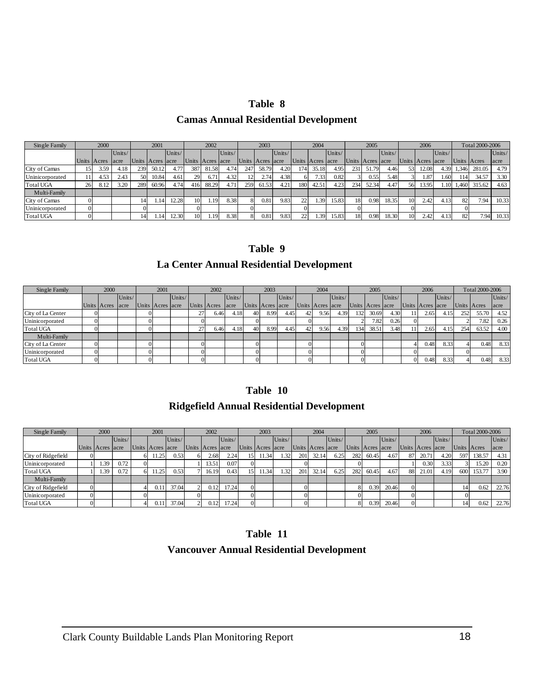#### **Table 8**

#### **Camas Annual Residential Development**

| Single Family    |    | 2000        |        |     | 2001             |        |                 | 2002             |        |     | 2003             |        |      | 2004             |        |     | 2005             |        |    | 2006             |                  |       | Total 2000-2006 |        |
|------------------|----|-------------|--------|-----|------------------|--------|-----------------|------------------|--------|-----|------------------|--------|------|------------------|--------|-----|------------------|--------|----|------------------|------------------|-------|-----------------|--------|
|                  |    |             | Units/ |     |                  | Units/ |                 |                  | Units/ |     |                  | Units/ |      |                  | Units/ |     |                  | Units/ |    |                  | Units/           |       |                 | Units/ |
|                  |    | Units Acres | lacre  |     | Units Acres acre |        |                 | Units Acres acre |        |     | Units Acres acre |        |      | Units Acres acre |        |     | Units Acres acre |        |    | Units Acres acre |                  |       | Units Acres     | acre   |
| City of Camas    |    | 3.59        | 4.18   | 239 | 50.12            |        | 387             | 81.58            | 4.74   | 247 | 58.79            | 4.20   | 1741 | 35.18            | 4.95   | 231 | 51.79            | 4.46   | 53 | 12.08            | 4.39             | 1,346 | 281.05          | 4.79   |
| Uninicorporated  |    | 4.53        | 2.43   | 50  | 10.84            | 4.61   | 29              | 6.71             | 4.32   | 12. | 2.74             | 4.38   | 6.   | 7.33             | 0.82   |     | 0.55             | 5.48   |    | 1.87             | .60 <sup>1</sup> | 141   | 34.57           | 3.30   |
| <b>Total UGA</b> | 26 | 8.12        | 3.20   | 289 | 60.96            | 4.74   | 416             | 88.29            | 4.71   | 259 | 61.53            | 4.21   | 180  | 42.51            | 4.23   | 234 | 52.34            | 4.47   | 56 | 13.95            | .10 <sub>l</sub> | 1.460 | 315.62          | 4.63   |
| Multi-Family     |    |             |        |     |                  |        |                 |                  |        |     |                  |        |      |                  |        |     |                  |        |    |                  |                  |       |                 |        |
| City of Camas    |    |             |        | 14  |                  | 12.28  | 10 <sup>1</sup> | l.19             | 8.38   | 8   | 0.81             | 9.83   | 22   | 1.39             | 15.83  | 18  | 0.98             | 18.35  | 10 | 2.42             | 4.13             | 82    | 7.94            | 10.33  |
| Uninicorporated  |    |             |        |     |                  |        |                 |                  |        |     |                  |        |      |                  |        |     |                  |        |    |                  |                  |       |                 |        |
| <b>Total UGA</b> |    |             |        | 14  |                  | 12.30  | 10 <sup>1</sup> | .19              | 8.38   | 81  | 0.81             | 9.83   | 22   | .39 <sup>1</sup> | 15.83  | 18  | 0.98             | 18.30  | 10 | 2.42             | 4.13             | 82    | 7.94            | 10.33  |

# **Table 9**

#### **La Center Annual Residential Development**

| Single Family     | 2000        |        | 2001             |        |             | 2002 |        |    | 2003             |        |          | 2004             |        |     | 2005             |        |          | 2006             |        |             | Total 2000-2006 |        |
|-------------------|-------------|--------|------------------|--------|-------------|------|--------|----|------------------|--------|----------|------------------|--------|-----|------------------|--------|----------|------------------|--------|-------------|-----------------|--------|
|                   |             | Units/ |                  | Units/ |             |      | Units/ |    |                  | Units/ |          |                  | Units/ |     |                  | Units/ |          |                  | Units/ |             |                 | Units/ |
|                   | Units Acres | acre   | Units Acres acre |        | Units Acres |      | acre   |    | Units Acres acre |        |          | Units Acres acre |        |     | Units Acres acre |        |          | Units Acres acre |        | Units Acres |                 | acre   |
| City of La Center |             |        |                  |        | 27          | 6.46 | 4.18   | 40 | 8.99             | 4.45   | 42       | 9.56             | 4.39   | 132 | 30.69            | 4.30   |          | 2.65             | 4.15   | 252         | 55.70           | 4.52   |
| Uninicorporated   |             |        |                  |        |             |      |        |    |                  |        |          |                  |        |     | 7.82             | 0.26   |          |                  |        |             | 7.82            | 0.26   |
| <b>Total UGA</b>  |             |        |                  |        | 27          | 6.46 | 4.18   | 40 | 8.99             | 4.45   | 42       | 9.56             | 4.39   | 134 | 38.51            | 3.48   |          | 2.65             | 4.15   | 254         | 63.52           | 4.00   |
| Multi-Family      |             |        |                  |        |             |      |        |    |                  |        |          |                  |        |     |                  |        |          |                  |        |             |                 |        |
| City of La Center |             |        |                  |        |             |      |        |    |                  |        |          |                  |        |     |                  |        |          | 0.48             | 8.33   |             | 0.48            | 8.33   |
| Uninicorporated   |             |        |                  |        |             |      |        |    |                  |        | 0        |                  |        |     |                  |        |          |                  |        |             |                 |        |
| <b>Total UGA</b>  |             |        |                  |        |             |      |        |    |                  |        | $\Omega$ |                  |        |     |                  |        | $\Omega$ | 0.48             | 8.33   |             | 0.48            | 8.33   |

#### **Table 10**

#### **Ridgefield Annual Residential Development**

| Single Family      | 2000             |        | 2001             |        | 2002             |        |    | 2003             |        |     | 2004             |        |     | 2005             |        |          | 2006             |        |             | Total 2000-2006 |        |
|--------------------|------------------|--------|------------------|--------|------------------|--------|----|------------------|--------|-----|------------------|--------|-----|------------------|--------|----------|------------------|--------|-------------|-----------------|--------|
|                    |                  | Units/ |                  | Units/ |                  | Units/ |    |                  | Units/ |     |                  | Units/ |     |                  | Units/ |          |                  | Units/ |             |                 | Units/ |
|                    | Units Acres acre |        | Units Acres acre |        | Units Acres acre |        |    | Units Acres acre |        |     | Units Acres acre |        |     | Units Acres acre |        |          | Units Acres acre |        | Units Acres |                 | acre   |
| City of Ridgefield |                  |        | 11.25            | 0.53   | 2.68             | 2.24   |    | .1.34            | 1.32   | 201 | 32.14            | 6.25   | 282 | 60.45            | 4.67   | 87       | 20.71            | 4.20   | 597         | 138.57          | 4.31   |
| Uninicorporated    | 1.39             | 0.72   |                  |        | 3.51             | 0.07   |    |                  |        |     |                  |        |     |                  |        |          | 0.30             | 3.33   |             | 15.20           | 0.20   |
| <b>Total UGA</b>   | 1.39             | 0.72   | 11.25            | 0.53   | 16.19            | 0.43   | 15 | 1.34             | 1.32   | 201 | 32.14            | 6.25   | 282 | 60.45            | 4.67   | 88       | 21.01            | 4.19   | 600         | 153.77          | 3.90   |
| Multi-Family       |                  |        |                  |        |                  |        |    |                  |        |     |                  |        |     |                  |        |          |                  |        |             |                 |        |
| City of Ridgefield |                  |        |                  | 37.04  | 0.12             | 17.24  |    |                  |        |     |                  |        |     | 0.39             | 20.46  | $\Omega$ |                  |        | 14          | 0.62            | 22.76  |
| Uninicorporated    |                  |        |                  |        |                  |        |    |                  |        |     |                  |        |     |                  |        | $\Omega$ |                  |        |             |                 |        |
| <b>Total UGA</b>   |                  |        | 0.11             | 37.04  | 0.12             | 17.24  |    |                  |        |     |                  |        |     | 0.39             | 20.46  | $\Omega$ |                  |        | 14          | 0.62            | 22.76  |

# **Table 11 Vancouver Annual Residential Development**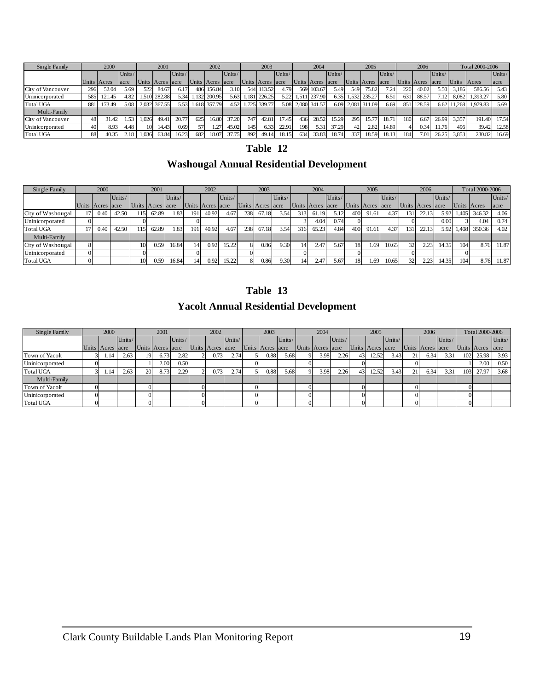| Single Family     |     | 2000        |        |       | 2001             |        |       | 2002             |        |       | 2003             |        |       | 2004              |        |      | 2005             |        |      | 2006        |        |       | Total 2000-2006 |        |
|-------------------|-----|-------------|--------|-------|------------------|--------|-------|------------------|--------|-------|------------------|--------|-------|-------------------|--------|------|------------------|--------|------|-------------|--------|-------|-----------------|--------|
|                   |     |             | Units/ |       |                  | Units/ |       |                  | Units/ |       |                  | Units/ |       |                   | Units/ |      |                  | Units/ |      |             | Units/ |       |                 | Units/ |
|                   |     | Units Acres | acre   |       | Units Acres acre |        |       | Units Acres acre |        |       | Units Acres acre |        |       | Units Acres acre  |        |      | Units Acres acre |        |      | Units Acres | lacre  | Units | Acres           | acre   |
| City of Vancouver | 296 | 52.04       | 5.69   | 522   | 84.67            | 6.17   |       | 486 156.84       | 3.10   | 544 3 | 113.52           | 4.79   |       | 569 103.67        | 5.49   | 549  | 75.82            | 7.24   | 220  | 40.02       | 5.50   | 3.186 | 586.56          | 5.43   |
| Uninicorporated   | 585 | 121.45      | 4.82   | 1.510 | 282.88           | 5.34   |       | 1.132 200.95     | 5.63   |       | 1,181 226.25     | 5.22   | 1.511 | 1 237.90          | 6.35   |      | 1,532 235.27     | 6.51   | 631  | 88.57       | 7.12   | 8.082 | 1.393.27        | 5.80   |
| <b>Total UGA</b>  | 881 | 173.49      | 5.08   | 2.032 | 367.55           | 5.53   | 1,618 | 357.79           | 4.52   |       | 1,725 339.77     |        |       | 5.08 2,080 341.57 | 6.09   |      | 2,081 311.09     | 6.69   | 8511 | 128.59      | 6.62   | 1.268 | 1.979.83        | 5.69   |
| Multi-Family      |     |             |        |       |                  |        |       |                  |        |       |                  |        |       |                   |        |      |                  |        |      |             |        |       |                 |        |
| City of Vancouver | 48  | 31.42       | 1.53   | 1.026 | 49.41            | 20.77  | 625   | 16.80            | 37.20  | 7471  | 42.81            | 17.45  | 4361  | 28.52             | 15.29  | 295  | 15.77            | 18.71  | 180  | 6.67        | 26.99  | 3.357 | 191.40          | 17.54  |
| Uninicorporated   | 40  | 8.93        | 4.48   | 10    | 14.43            | 0.69   | 57    |                  | 45.02  | 145   | 6.33             | 22.91  | 198   | 5.31              | 37.29  | 42   | 2.82             | 14.89  |      | 0.34        | 11.76  | 496   | 39.42           | 12.58  |
| <b>Total UGA</b>  | 88  | 40.35       | 2.18   | 1.036 | 63.84            | 16.23  | 682   | 18.07            | 37.75  | 892   | 49.14            | 18.15  | 634   | 33.83             | 18.74  | 3371 | 18.59            | 18.13  | 184  | 7.01        | 26.25  | 3.853 | 230.82          | 16.69  |

# **Table 12**

# **Washougal Annual Residential Development**

| Single Family     |          | 2000             |        |     | 2001             |        |     | 2002             |        |     | 2003             |        |     | 2004        |        |     | 2005        |        |                 | 2006             |        |              | Total 2000-2006 |        |
|-------------------|----------|------------------|--------|-----|------------------|--------|-----|------------------|--------|-----|------------------|--------|-----|-------------|--------|-----|-------------|--------|-----------------|------------------|--------|--------------|-----------------|--------|
|                   |          |                  | Units/ |     |                  | Units/ |     |                  | Units/ |     |                  | Units/ |     |             | Units/ |     |             | Units/ |                 |                  | Units/ |              |                 | Units/ |
|                   |          | Units Acres acre |        |     | Units Acres acre |        |     | Units Acres acre |        |     | Units Acres acre |        |     | Units Acres | acre   |     | Units Acres | lacre  |                 | Units Acres acre |        |              | Units Acres     | acre   |
| City of Washougal |          | 0.40             | 42.50  | 115 | 62.89            | 1.831  | 191 | 40.92            | 4.67   | 238 | 67.18            | 3.54   | 313 | 61.19       | 5.12   | 400 | 91.61       | 4.37   | 131             | 22.13            | 5.92   | 1,405        | 346.32          | 4.06   |
| Uninicorporated   | $\Omega$ |                  |        |     |                  |        |     |                  |        |     |                  |        |     | 4.04        | 0.74   |     |             |        |                 |                  | 0.00   |              | 4.04            | 0.74   |
| <b>Total UGA</b>  |          | 0.40             | 42.50  | 15  | 62.89            | .831   | 191 | 40.92            | 4.67   | 238 | 67.18            | 3.54   | 316 | 65.23       | 4.84   | 400 | 91.61       | 4.37   | 131             | 22.13            | 5.92   | <b>4.408</b> | 350.36          | 4.02   |
| Multi-Family      |          |                  |        |     |                  |        |     |                  |        |     |                  |        |     |             |        |     |             |        |                 |                  |        |              |                 |        |
| City of Washougal |          |                  |        | 10  | 0.59             | 16.84  |     | 0.92             | 15.22  |     | 0.86             | 9.30   | 14  | 2.47'       | 5.67   | 18  | 1.69        | 10.65  | 32              | 2.23             | 14.35  | 104          | 8.76            | 11.87  |
| Uninicorporated   | $\Omega$ |                  |        |     |                  |        |     |                  |        |     |                  |        |     |             |        |     |             |        |                 |                  |        |              |                 |        |
| <b>Total UGA</b>  | $\Omega$ |                  |        | 10  | 0.59             | 16.84  |     | 0.92             | 15.22  |     | 0.86             | 9.30   | 4   | 2.47        | 5.67   | 18  | 1.691       | 10.65  | 32 <sub>1</sub> | 2.23             | 14.35  | 104          | 8.76            | 11.87  |

# **Table 13**

# **Yacolt Annual Residential Development**

| Single Family    | 2000             |        |    | 2001             |        |          | 2002             |        | 2003             |        | 2004             |        |          | 2005             |        |              | 2006             |        |     | Total 2000-2006 |        |
|------------------|------------------|--------|----|------------------|--------|----------|------------------|--------|------------------|--------|------------------|--------|----------|------------------|--------|--------------|------------------|--------|-----|-----------------|--------|
|                  |                  | Units/ |    |                  | Units/ |          |                  | Units/ |                  | Units/ |                  | Units/ |          |                  | Units/ |              |                  | Units/ |     |                 | Units/ |
|                  | Units Acres acre |        |    | Units Acres acre |        |          | Units Acres acre |        | Units Acres acre |        | Units Acres acre |        |          | Units Acres acre |        |              | Units Acres acre |        |     | Units Acres     | acre   |
| Town of Yacolt   | 1.14             | 2.63   | 19 | 6.73             | 2.82   |          | 0.73             | 2.74   | 0.88             | 5.68   | 3.98             | 2.26   | 43       | 12.52            | 3.43   |              | 6.34             | 3.31   | 102 | 25.98           | 3.93   |
| Uninicorporated  |                  |        |    | 2.00             | 0.50   |          |                  |        |                  |        |                  |        |          |                  |        |              |                  |        |     | 2.00            | 0.50   |
| <b>Total UGA</b> | 1.14             | 2.63   | 20 | 8.73             | 2.29   |          | 0.73             | 2.74   | 0.88             | 5.68   | 3.98             | 2.26   | 43       | 12.52            | 3.43   | $^{\circ}$ 1 | 6.34             | 3.31   | 103 | 27.97           | 3.68   |
| Multi-Family     |                  |        |    |                  |        |          |                  |        |                  |        |                  |        |          |                  |        |              |                  |        |     |                 |        |
| Town of Yacolt   |                  |        |    |                  |        |          |                  |        |                  |        |                  |        |          |                  |        |              |                  |        |     |                 |        |
| Uninicorporated  |                  |        |    |                  |        |          |                  |        |                  |        |                  |        |          |                  |        |              |                  |        |     |                 |        |
| <b>Total UGA</b> |                  |        |    |                  |        | $\Omega$ |                  |        |                  |        |                  |        | $\Omega$ |                  |        |              |                  |        |     |                 |        |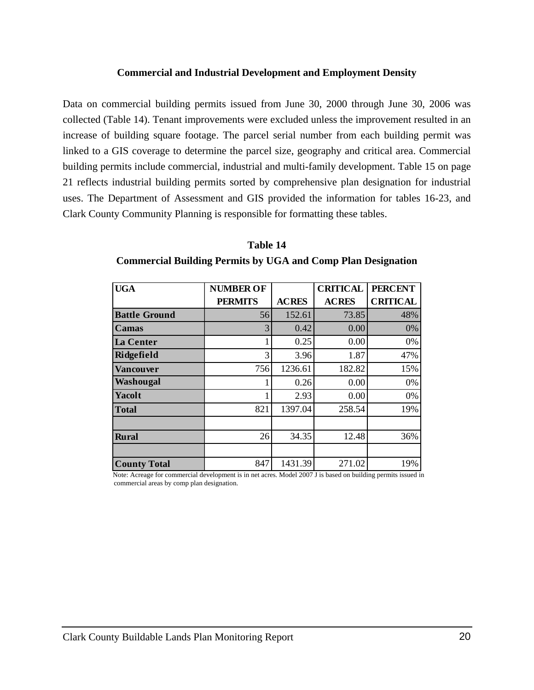#### **Commercial and Industrial Development and Employment Density**

<span id="page-21-0"></span>Data on commercial building permits issued from June 30, 2000 through June 30, 2006 was collected (Table 14). Tenant improvements were excluded unless the improvement resulted in an increase of building square footage. The parcel serial number from each building permit was linked to a GIS coverage to determine the parcel size, geography and critical area. Commercial building permits include commercial, industrial and multi-family development. Table 15 on page 21 reflects industrial building permits sorted by comprehensive plan designation for industrial uses. The Department of Assessment and GIS provided the information for tables 16-23, and Clark County Community Planning is responsible for formatting these tables.

| <b>UGA</b>           | <b>NUMBER OF</b> |              | <b>CRITICAL</b> | <b>PERCENT</b>  |
|----------------------|------------------|--------------|-----------------|-----------------|
|                      | <b>PERMITS</b>   | <b>ACRES</b> | <b>ACRES</b>    | <b>CRITICAL</b> |
| <b>Battle Ground</b> | 56               | 152.61       | 73.85           | 48%             |
| <b>Camas</b>         | 3                | 0.42         | 0.00            | 0%              |
| La Center            |                  | 0.25         | 0.00            | 0%              |
| Ridgefield           | 3                | 3.96         | 1.87            | 47%             |
| <b>Vancouver</b>     | 756              | 1236.61      | 182.82          | 15%             |
| Washougal            |                  | 0.26         | 0.00            | 0%              |
| Yacolt               |                  | 2.93         | 0.00            | 0%              |
| <b>Total</b>         | 821              | 1397.04      | 258.54          | 19%             |
|                      |                  |              |                 |                 |
| <b>Rural</b>         | 26               | 34.35        | 12.48           | 36%             |
|                      |                  |              |                 |                 |
| <b>County Total</b>  | 847              | 1431.39      | 271.02          | 19%             |

**Table 14 Commercial Building Permits by UGA and Comp Plan Designation** 

Note: Acreage for commercial development is in net acres. Model 2007 J is based on building permits issued in commercial areas by comp plan designation.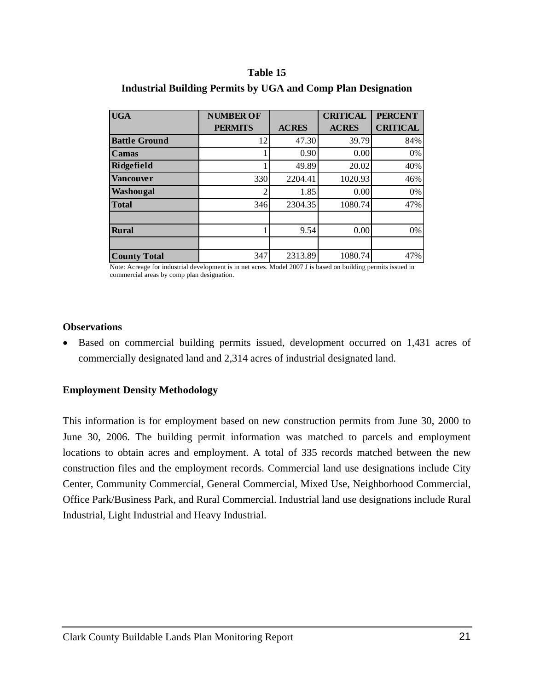#### **Table 15**

| <b>UGA</b>           | <b>NUMBER OF</b> |              | <b>CRITICAL</b> | <b>PERCENT</b>  |
|----------------------|------------------|--------------|-----------------|-----------------|
|                      | <b>PERMITS</b>   | <b>ACRES</b> | <b>ACRES</b>    | <b>CRITICAL</b> |
| <b>Battle Ground</b> | 12               | 47.30        | 39.79           | 84%             |
| Camas                |                  | 0.90         | 0.00            | 0%              |
| Ridgefield           |                  | 49.89        | 20.02           | 40%             |
| <b>Vancouver</b>     | 330              | 2204.41      | 1020.93         | 46%             |
| Washougal            | $\bigcirc$       | 1.85         | 0.00            | 0%              |
| <b>Total</b>         | 346              | 2304.35      | 1080.74         | 47%             |
|                      |                  |              |                 |                 |
| <b>Rural</b>         |                  | 9.54         | 0.00            | 0%              |
|                      |                  |              |                 |                 |
| <b>County Total</b>  | 347              | 2313.89      | 1080.74         | 47%             |

#### <span id="page-22-0"></span>**Industrial Building Permits by UGA and Comp Plan Designation**

Note: Acreage for industrial development is in net acres. Model 2007 J is based on building permits issued in commercial areas by comp plan designation.

#### **Observations**

• Based on commercial building permits issued, development occurred on 1,431 acres of commercially designated land and 2,314 acres of industrial designated land.

#### **Employment Density Methodology**

This information is for employment based on new construction permits from June 30, 2000 to June 30, 2006. The building permit information was matched to parcels and employment locations to obtain acres and employment. A total of 335 records matched between the new construction files and the employment records. Commercial land use designations include City Center, Community Commercial, General Commercial, Mixed Use, Neighborhood Commercial, Office Park/Business Park, and Rural Commercial. Industrial land use designations include Rural Industrial, Light Industrial and Heavy Industrial.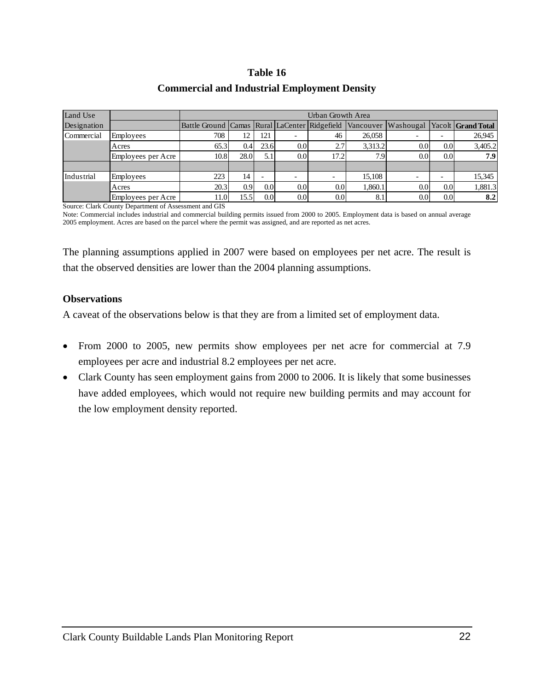#### **Table 16**

### **Commercial and Industrial Employment Density**

| Land Use    |                    | Urban Growth Area                             |                  |                  |                          |                          |           |                              |     |         |  |  |  |
|-------------|--------------------|-----------------------------------------------|------------------|------------------|--------------------------|--------------------------|-----------|------------------------------|-----|---------|--|--|--|
| Designation |                    | Battle Ground Camas Rural LaCenter Ridgefield |                  |                  |                          |                          | Vancouver | Washougal Yacolt Grand Total |     |         |  |  |  |
| Commercial  | Employees          | 708                                           |                  | 121              |                          | 46                       | 26,058    |                              |     | 26,945  |  |  |  |
|             | Acres              | 65.3                                          | 0.4              | 23.6             | 0.0 <sub>l</sub>         | 2.7                      | 3,313.2   | 0.0                          | 0.0 | 3,405.2 |  |  |  |
|             | Employees per Acre | 10.8                                          | 28.0             | 5.1              | 0.0 <sub>l</sub>         | 17.2                     | 7.9       | 0.0 <sub>l</sub>             | 0.0 | 7.9     |  |  |  |
|             |                    |                                               |                  |                  |                          |                          |           |                              |     |         |  |  |  |
| Industrial  | Employees          | 223                                           | 14               |                  | $\overline{\phantom{0}}$ | $\overline{\phantom{a}}$ | 15,108    |                              |     | 15,345  |  |  |  |
|             | Acres              | 20.3                                          | 0.9 <sub>l</sub> | 0.0              | 0.0 <sub>l</sub>         | 0.0 <sub>l</sub>         | 1,860.1   | 0.0                          | 0.0 | 1,881.3 |  |  |  |
|             | Employees per Acre | 11.0                                          | 15.5             | 0.0 <sub>l</sub> | 0.0 <sub>l</sub>         | 0.0 <sub>l</sub>         | 8.1       | 0.0 <sub>l</sub>             | 0.0 | 8.2     |  |  |  |

Source: Clark County Department of Assessment and GIS

Note: Commercial includes industrial and commercial building permits issued from 2000 to 2005. Employment data is based on annual average 2005 employment. Acres are based on the parcel where the permit was assigned, and are reported as net acres.

The planning assumptions applied in 2007 were based on employees per net acre. The result is that the observed densities are lower than the 2004 planning assumptions.

#### **Observations**

A caveat of the observations below is that they are from a limited set of employment data.

- From 2000 to 2005, new permits show employees per net acre for commercial at 7.9 employees per acre and industrial 8.2 employees per net acre.
- Clark County has seen employment gains from 2000 to 2006. It is likely that some businesses have added employees, which would not require new building permits and may account for the low employment density reported.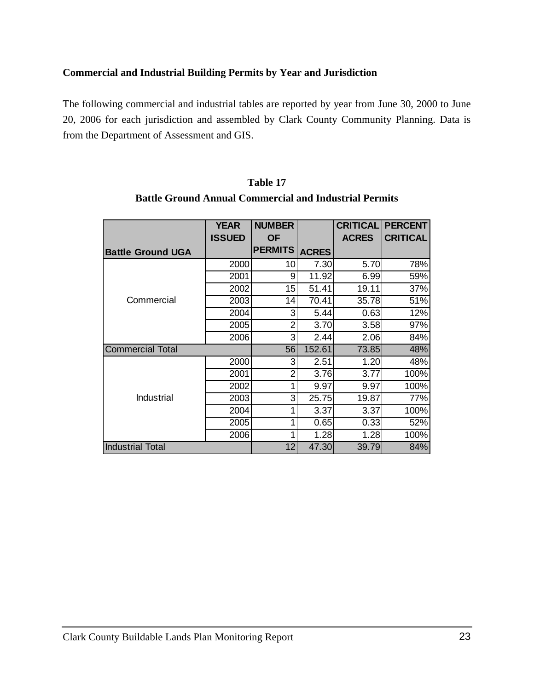# <span id="page-24-0"></span>**Commercial and Industrial Building Permits by Year and Jurisdiction**

The following commercial and industrial tables are reported by year from June 30, 2000 to June 20, 2006 for each jurisdiction and assembled by Clark County Community Planning. Data is from the Department of Assessment and GIS.

|                          | <b>YEAR</b><br><b>ISSUED</b> | <b>NUMBER</b><br><b>OF</b> |              | <b>CRITICAL</b><br><b>ACRES</b> | <b>PERCENT</b><br><b>CRITICAL</b> |
|--------------------------|------------------------------|----------------------------|--------------|---------------------------------|-----------------------------------|
| <b>Battle Ground UGA</b> |                              | <b>PERMITS</b>             | <b>ACRES</b> |                                 |                                   |
|                          | 2000                         | 10                         | 7.30         | 5.70                            | 78%                               |
|                          | 2001                         | 9                          | 11.92        | 6.99                            | 59%                               |
|                          | 2002                         | 15                         | 51.41        | 19.11                           | 37%                               |
| Commercial               | 2003                         | 14                         | 70.41        | 35.78                           | 51%                               |
|                          | 2004                         | 3                          | 5.44         | 0.63                            | 12%                               |
|                          | 2005                         | 2                          | 3.70         | 3.58                            | 97%                               |
|                          | 2006                         | 3                          | 2.44         | 2.06                            | 84%                               |
| <b>Commercial Total</b>  |                              | 56                         | 152.61       | 73.85                           | 48%                               |
|                          | 2000                         | 3                          | 2.51         | 1.20                            | 48%                               |
|                          | 2001                         | 2                          | 3.76         | 3.77                            | 100%                              |
|                          | 2002                         |                            | 9.97         | 9.97                            | 100%                              |
| Industrial               | 2003                         | 3                          | 25.75        | 19.87                           | 77%                               |
|                          | 2004                         |                            | 3.37         | 3.37                            | 100%                              |
|                          | 2005                         |                            | 0.65         | 0.33                            | 52%                               |
|                          | 2006                         |                            | 1.28         | 1.28                            | 100%                              |
| <b>Industrial Total</b>  |                              | 12                         | 47.30        | 39.79                           | 84%                               |

| Table 17                                                      |
|---------------------------------------------------------------|
| <b>Battle Ground Annual Commercial and Industrial Permits</b> |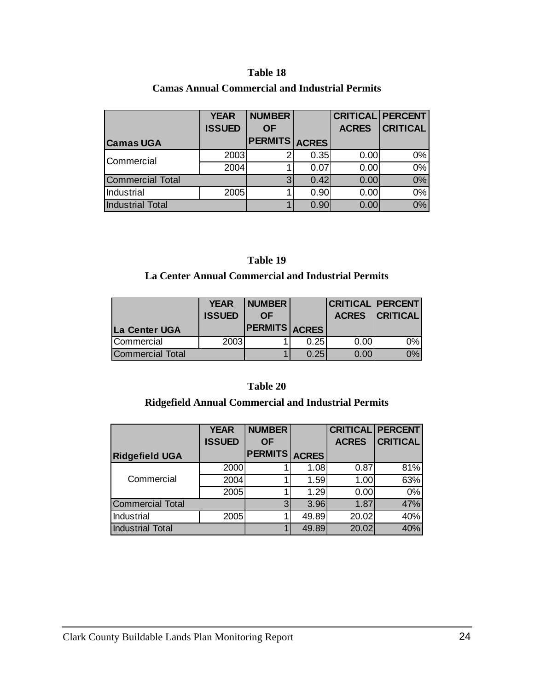#### **Table 18**

| <b>Camas Annual Commercial and Industrial Permits</b> |  |
|-------------------------------------------------------|--|
|-------------------------------------------------------|--|

|                         | <b>YEAR</b>   | <b>NUMBER</b>        |      | <b>CRITICAL PERCENT</b> |                 |
|-------------------------|---------------|----------------------|------|-------------------------|-----------------|
|                         | <b>ISSUED</b> | <b>OF</b>            |      | <b>ACRES</b>            | <b>CRITICAL</b> |
| <b>Camas UGA</b>        |               | <b>PERMITS ACRES</b> |      |                         |                 |
| Commercial              | 2003          | 2                    | 0.35 | 0.00                    | 0%              |
|                         | 2004          |                      | 0.07 | 0.00                    | 0%              |
| <b>Commercial Total</b> |               | 3                    | 0.42 | 0.00                    | 0%              |
| Industrial              | 2005          |                      | 0.90 | 0.00                    | $0\%$           |
| <b>Industrial Total</b> |               |                      | 0.90 | 0.00                    | 0%              |

# **Table 19**

# **La Center Annual Commercial and Industrial Permits**

|                         | <b>YEAR</b>   | <b>NUMBER</b>        |      |      | <b>CRITICAL PERCENT</b> |
|-------------------------|---------------|----------------------|------|------|-------------------------|
|                         | <b>ISSUED</b> | 0F                   |      |      | <b>ACRES CRITICAL</b>   |
| La Center UGA           |               | <b>PERMITS ACRES</b> |      |      |                         |
| Commercial              | 2003          |                      | 0.25 | 0.00 | 0%                      |
| <b>Commercial Total</b> |               |                      | 0.25 | 0.00 | 0%                      |

#### **Table 20**

# **Ridgefield Annual Commercial and Industrial Permits**

|                         | <b>YEAR</b>   | <b>NUMBER</b>  |              | <b>CRITICAL PERCENT</b> |                 |
|-------------------------|---------------|----------------|--------------|-------------------------|-----------------|
|                         | <b>ISSUED</b> | <b>OF</b>      |              | <b>ACRES</b>            | <b>CRITICAL</b> |
| <b>Ridgefield UGA</b>   |               | <b>PERMITS</b> | <b>ACRES</b> |                         |                 |
|                         | 2000          |                | 1.08         | 0.87                    | 81%             |
| Commercial              | 2004          |                | 1.59         | 1.00                    | 63%             |
|                         | 2005          |                | 1.29         | 0.00                    | 0%              |
| <b>Commercial Total</b> |               | 3 <sup>1</sup> | 3.96         | 1.87                    | 47%             |
| Industrial              | 2005          |                | 49.89        | 20.02                   | 40%             |
| <b>Industrial Total</b> |               |                | 49.89        | 20.02                   | 40%             |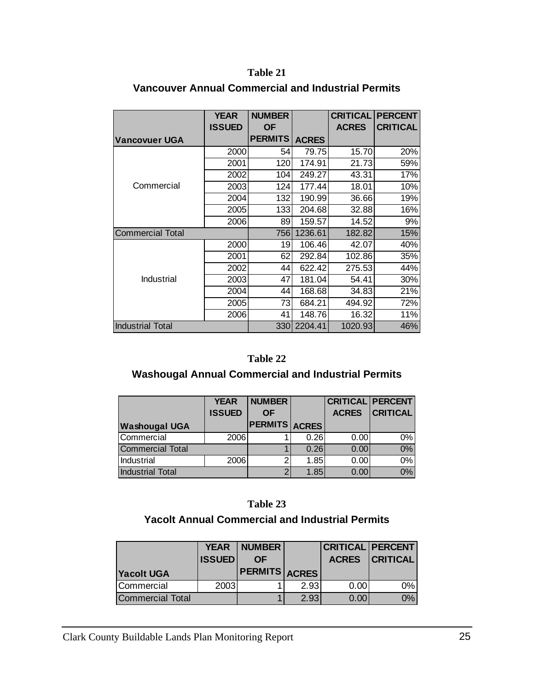#### **Table 21**

|                         | <b>YEAR</b><br><b>ISSUED</b> | <b>NUMBER</b><br><b>OF</b> |              | <b>CRITICAL</b><br><b>ACRES</b> | <b>PERCENT</b><br><b>CRITICAL</b> |
|-------------------------|------------------------------|----------------------------|--------------|---------------------------------|-----------------------------------|
| <b>Vancovuer UGA</b>    |                              | <b>PERMITS</b>             | <b>ACRES</b> |                                 |                                   |
|                         | 2000                         | 54                         | 79.75        | 15.70                           | 20%                               |
|                         | 2001                         | 120                        | 174.91       | 21.73                           | 59%                               |
|                         | 2002                         | 104                        | 249.27       | 43.31                           | 17%                               |
| Commercial              | 2003                         | 124                        | 177.44       | 18.01                           | 10%                               |
|                         | 2004                         | 132                        | 190.99       | 36.66                           | 19%                               |
|                         | 2005                         | 133                        | 204.68       | 32.88                           | 16%                               |
|                         | 2006                         | 89                         | 159.57       | 14.52                           | 9%                                |
| <b>Commercial Total</b> |                              | 756                        | 1236.61      | 182.82                          | 15%                               |
|                         | 2000                         | 19                         | 106.46       | 42.07                           | 40%                               |
|                         | 2001                         | 62                         | 292.84       | 102.86                          | 35%                               |
|                         | 2002                         | 44                         | 622.42       | 275.53                          | 44%                               |
| Industrial              | 2003                         | 47                         | 181.04       | 54.41                           | 30%                               |
|                         | 2004                         | 44                         | 168.68       | 34.83                           | 21%                               |
|                         | 2005                         | 73                         | 684.21       | 494.92                          | 72%                               |
|                         | 2006                         | 41                         | 148.76       | 16.32                           | 11%                               |
| <b>Industrial Total</b> |                              | 330                        | 2204.41      | 1020.93                         | 46%                               |

# **Vancouver Annual Commercial and Industrial Permits**

#### **Table 22**

# **Washougal Annual Commercial and Industrial Permits**

|                         | <b>YEAR</b>   | <b>NUMBER</b>  |      | <b>CRITICAL PERCENT</b> |                 |
|-------------------------|---------------|----------------|------|-------------------------|-----------------|
|                         | <b>ISSUED</b> | <b>OF</b>      |      | <b>ACRES</b>            | <b>CRITICAL</b> |
| <b>Washougal UGA</b>    |               | PERMITS ACRES' |      |                         |                 |
| Commercial              | 2006          |                | 0.26 | 0.00                    | 0%              |
| <b>Commercial Total</b> |               |                | 0.26 | 0.00                    | $0\%$           |
| Industrial              | 2006          | 2 <sub>1</sub> | 1.85 | 0.00                    | $0\%$           |
| <b>Industrial Total</b> |               | 2              | 1.85 | 0.00                    | 0%              |

# **Table 23**

# **Yacolt Annual Commercial and Industrial Permits**

|                         | <b>YEAR</b>   | <b>NUMBER</b>        |      | <b>CRITICAL PERCENT</b> |                       |
|-------------------------|---------------|----------------------|------|-------------------------|-----------------------|
|                         | <b>ISSUED</b> | ΟF                   |      |                         | <b>ACRES CRITICAL</b> |
| <b>Yacolt UGA</b>       |               | <b>PERMITS ACRES</b> |      |                         |                       |
| Commercial              | 2003          |                      | 2.93 | 0.00                    | 0%                    |
| <b>Commercial Total</b> |               |                      | 2.93 | 0.00                    | 0%l                   |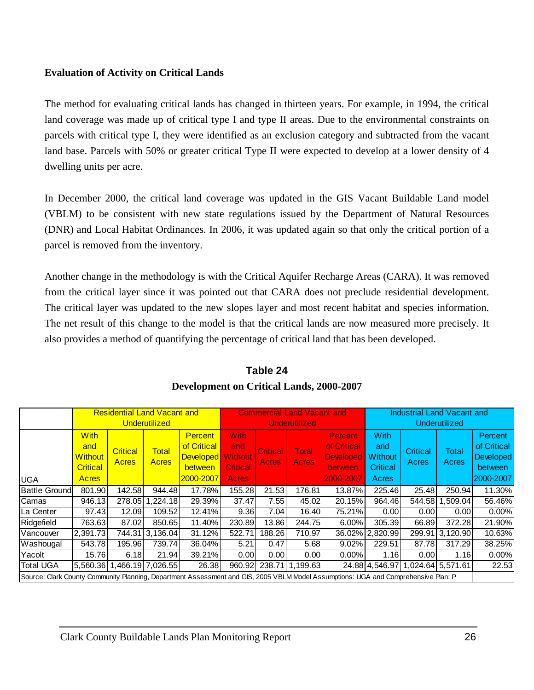## <span id="page-27-0"></span>**Evaluation of Activity on Critical Lands**

The method for evaluating critical lands has changed in thirteen years. For example, in 1994, the critical land coverage was made up of critical type I and type II areas. Due to the environmental constraints on parcels with critical type I, they were identified as an exclusion category and subtracted from the vacant land base. Parcels with 50% or greater critical Type II were expected to develop at a lower density of 4 dwelling units per acre.

In December 2000, the critical land coverage was updated in the GIS Vacant Buildable Land model (VBLM) to be consistent with new state regulations issued by the Department of Natural Resources (DNR) and Local Habitat Ordinances. In 2006, it was updated again so that only the critical portion of a parcel is removed from the inventory.

Another change in the methodology is with the Critical Aquifer Recharge Areas (CARA). It was removed from the critical layer since it was pointed out that CARA does not preclude residential development. The critical layer was updated to the new slopes layer and most recent habitat and species information. The net result of this change to the model is that the critical lands are now measured more precisely. It also provides a method of quantifying the percentage of critical land that has been developed.

|                                                                                                                                    | <b>Residential Land Vacant and</b> |                            |                 |                  |                 |                 | <b>Commercial Land Vacant and</b> |                  | <b>Industrial Land Vacant and</b> |                                  |                 |                    |  |
|------------------------------------------------------------------------------------------------------------------------------------|------------------------------------|----------------------------|-----------------|------------------|-----------------|-----------------|-----------------------------------|------------------|-----------------------------------|----------------------------------|-----------------|--------------------|--|
|                                                                                                                                    |                                    |                            | Underutilized   |                  |                 | Underutilized   |                                   |                  |                                   | Underutilized                    |                 |                    |  |
|                                                                                                                                    | <b>With</b>                        |                            | <b>Percent</b>  |                  | With            |                 |                                   | Percent.         | <b>With</b>                       |                                  |                 | <b>Percent</b>     |  |
|                                                                                                                                    | and                                | <b>Critical</b>            | <b>Total</b>    | of Critical      | and             | <b>Critical</b> | <b>Total</b>                      | of Critical      | and                               | <b>Critical</b>                  | <b>Total</b>    | of Critical        |  |
|                                                                                                                                    | <b>Without</b>                     | Acres                      | <b>Acres</b>    | <b>Developed</b> | <b>Without</b>  | Acres           | <b>Acres</b>                      | <b>Developed</b> | <b>Without</b>                    | Acres                            | Acres           | <b>Developed</b>   |  |
|                                                                                                                                    | <b>Critical</b>                    |                            |                 | between          | <b>Critical</b> |                 |                                   | between          | <b>Critical</b>                   |                                  |                 | between            |  |
| <b>UGA</b>                                                                                                                         | <b>Acres</b>                       |                            |                 | 2000-2007        | <b>Acres</b>    |                 |                                   | 2000-2007        | Acres                             |                                  |                 | 2000-2007          |  |
| <b>Battle Ground</b>                                                                                                               | 801.90                             | 142.58                     | 944.48          | 17.78%           | 155.28          | 21.53           | 176.81                            | 13.87%           | 225.46                            | 25.48                            | 250.94          | 11.30%             |  |
| Camas                                                                                                                              | 946.13                             |                            | 278.05 1.224.18 | 29.39%           | 37.47           | 7.55            | 45.02                             | 20.15%           | 964.46                            |                                  | 544.58 1.509.04 | 56.46%             |  |
| La Center                                                                                                                          | 97.43                              | 12.09                      | 109.52          | 12.41%           | 9.36            | 7.04            | 16.40                             | 75.21%           | 0.00                              | 0.00                             | 0.001           | $0.00\%$           |  |
| Ridgefield                                                                                                                         | 763.63                             | 87.02                      | 850.65          | 11.40%           | 230.89          | 13.86           | 244.75                            | 6.00%            | 305.39                            | 66.89                            | 372.28          | 21.90%             |  |
| Vancouver                                                                                                                          | 2,391.73                           | 744.31                     | 3,136.04        | 31.12%           | 522.71          | 188.26          | 710.97                            | 36.02%           | 2,820.99                          |                                  | 299.91 3,120.90 | 10.63%             |  |
| Washougal                                                                                                                          | 543.78                             | 195.96                     | 739.74          | 36.04%           | 5.21            | 0.47            | 5.68                              | 9.02%            | 229.51                            | 87.78                            | 317.29          | 38.25%             |  |
| Yacolt                                                                                                                             | 15.76                              | 6.18                       | 21.94           | 39.21%           | 0.00            | 0.00            | 0.00                              | $0.00\%$         | 1.16                              | 0.00                             | 1.16            | 0.00%              |  |
| <b>Total UGA</b>                                                                                                                   |                                    | 5,560.36 1,466.19 7,026.55 |                 | 26.38            | 960.92          |                 | 238.71 1,199.63                   |                  |                                   | 24.88 4,546.97 1,024.64 5,571.61 |                 | $\overline{22.53}$ |  |
| Source: Clark County Community Planning, Department Assessment and GIS, 2005 VBLM Model Assumptions: UGA and Comprehensive Plan: P |                                    |                            |                 |                  |                 |                 |                                   |                  |                                   |                                  |                 |                    |  |

# **Table 24 Development on Critical Lands, 2000-2007**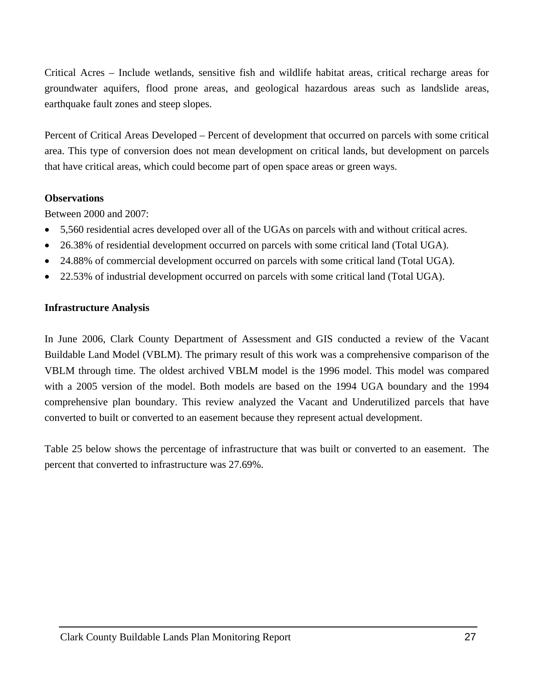<span id="page-28-0"></span>Critical Acres – Include wetlands, sensitive fish and wildlife habitat areas, critical recharge areas for groundwater aquifers, flood prone areas, and geological hazardous areas such as landslide areas, earthquake fault zones and steep slopes.

Percent of Critical Areas Developed – Percent of development that occurred on parcels with some critical area. This type of conversion does not mean development on critical lands, but development on parcels that have critical areas, which could become part of open space areas or green ways.

#### **Observations**

Between 2000 and 2007:

- 5,560 residential acres developed over all of the UGAs on parcels with and without critical acres.
- 26.38% of residential development occurred on parcels with some critical land (Total UGA).
- 24.88% of commercial development occurred on parcels with some critical land (Total UGA).
- 22.53% of industrial development occurred on parcels with some critical land (Total UGA).

#### **Infrastructure Analysis**

In June 2006, Clark County Department of Assessment and GIS conducted a review of the Vacant Buildable Land Model (VBLM). The primary result of this work was a comprehensive comparison of the VBLM through time. The oldest archived VBLM model is the 1996 model. This model was compared with a 2005 version of the model. Both models are based on the 1994 UGA boundary and the 1994 comprehensive plan boundary. This review analyzed the Vacant and Underutilized parcels that have converted to built or converted to an easement because they represent actual development.

Table 25 below shows the percentage of infrastructure that was built or converted to an easement. The percent that converted to infrastructure was 27.69%.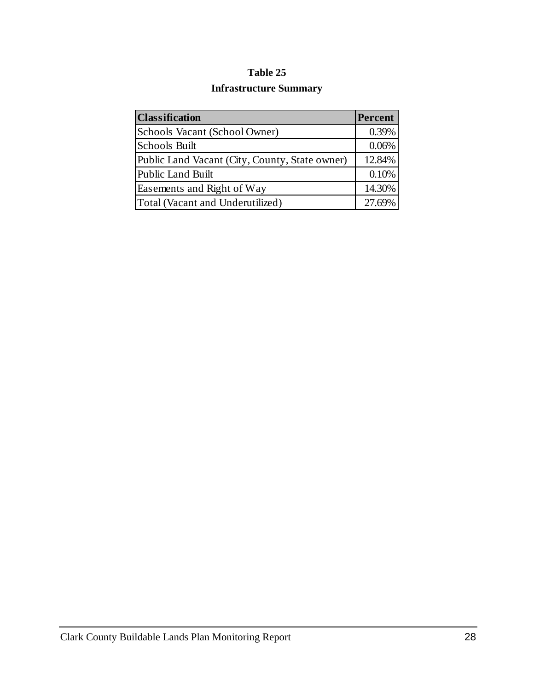# **Table 25**

# **Infrastructure Summary**

| <b>Classification</b>                          | Percent |
|------------------------------------------------|---------|
| Schools Vacant (School Owner)                  | 0.39%   |
| <b>Schools Built</b>                           | 0.06%   |
| Public Land Vacant (City, County, State owner) | 12.84%  |
| Public Land Built                              | 0.10%   |
| Easements and Right of Way                     | 14.30%  |
| Total (Vacant and Underutilized)               | 27.69%  |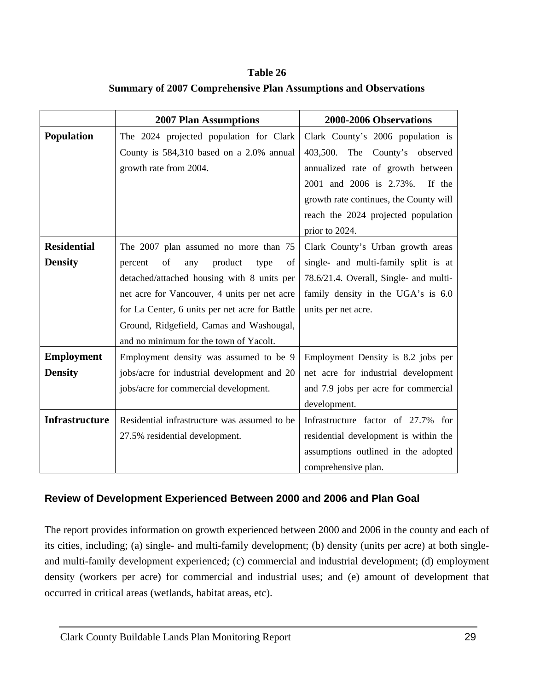**Table 26 Summary of 2007 Comprehensive Plan Assumptions and Observations** 

|                       | <b>2007 Plan Assumptions</b>                   | 2000-2006 Observations                 |
|-----------------------|------------------------------------------------|----------------------------------------|
| <b>Population</b>     | The 2024 projected population for Clark        | Clark County's 2006 population is      |
|                       | County is 584,310 based on a 2.0% annual       | 403,500. The County's observed         |
|                       | growth rate from 2004.                         | annualized rate of growth between      |
|                       |                                                | 2001 and 2006 is 2.73%.<br>If the      |
|                       |                                                | growth rate continues, the County will |
|                       |                                                | reach the 2024 projected population    |
|                       |                                                | prior to 2024.                         |
| <b>Residential</b>    | The 2007 plan assumed no more than 75          | Clark County's Urban growth areas      |
| <b>Density</b>        | of<br>percent<br>product<br>any<br>type<br>of  | single- and multi-family split is at   |
|                       | detached/attached housing with 8 units per     | 78.6/21.4. Overall, Single- and multi- |
|                       | net acre for Vancouver, 4 units per net acre   | family density in the UGA's is 6.0     |
|                       | for La Center, 6 units per net acre for Battle | units per net acre.                    |
|                       | Ground, Ridgefield, Camas and Washougal,       |                                        |
|                       | and no minimum for the town of Yacolt.         |                                        |
| <b>Employment</b>     | Employment density was assumed to be 9         | Employment Density is 8.2 jobs per     |
| <b>Density</b>        | jobs/acre for industrial development and 20    | net acre for industrial development    |
|                       | jobs/acre for commercial development.          | and 7.9 jobs per acre for commercial   |
|                       |                                                | development.                           |
| <b>Infrastructure</b> | Residential infrastructure was assumed to be   | Infrastructure factor of 27.7% for     |
|                       | 27.5% residential development.                 | residential development is within the  |
|                       |                                                | assumptions outlined in the adopted    |
|                       |                                                | comprehensive plan.                    |

# **Review of Development Experienced Between 2000 and 2006 and Plan Goal**

The report provides information on growth experienced between 2000 and 2006 in the county and each of its cities, including; (a) single- and multi-family development; (b) density (units per acre) at both singleand multi-family development experienced; (c) commercial and industrial development; (d) employment density (workers per acre) for commercial and industrial uses; and (e) amount of development that occurred in critical areas (wetlands, habitat areas, etc).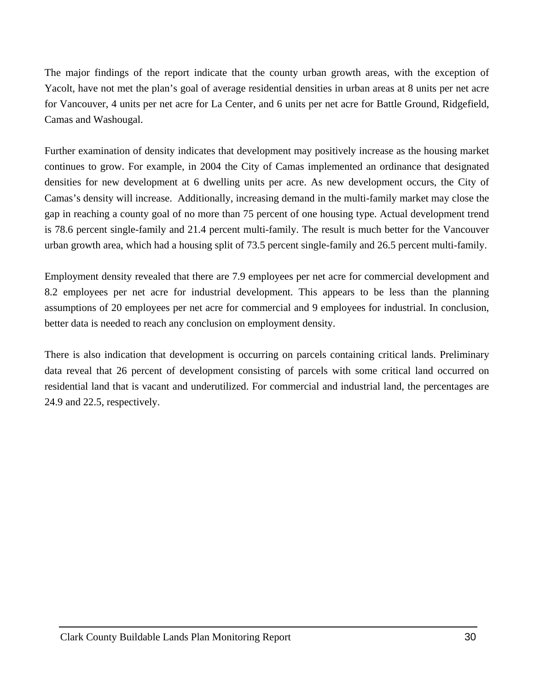The major findings of the report indicate that the county urban growth areas, with the exception of Yacolt, have not met the plan's goal of average residential densities in urban areas at 8 units per net acre for Vancouver, 4 units per net acre for La Center, and 6 units per net acre for Battle Ground, Ridgefield, Camas and Washougal.

Further examination of density indicates that development may positively increase as the housing market continues to grow. For example, in 2004 the City of Camas implemented an ordinance that designated densities for new development at 6 dwelling units per acre. As new development occurs, the City of Camas's density will increase. Additionally, increasing demand in the multi-family market may close the gap in reaching a county goal of no more than 75 percent of one housing type. Actual development trend is 78.6 percent single-family and 21.4 percent multi-family. The result is much better for the Vancouver urban growth area, which had a housing split of 73.5 percent single-family and 26.5 percent multi-family.

Employment density revealed that there are 7.9 employees per net acre for commercial development and 8.2 employees per net acre for industrial development. This appears to be less than the planning assumptions of 20 employees per net acre for commercial and 9 employees for industrial. In conclusion, better data is needed to reach any conclusion on employment density.

There is also indication that development is occurring on parcels containing critical lands. Preliminary data reveal that 26 percent of development consisting of parcels with some critical land occurred on residential land that is vacant and underutilized. For commercial and industrial land, the percentages are 24.9 and 22.5, respectively.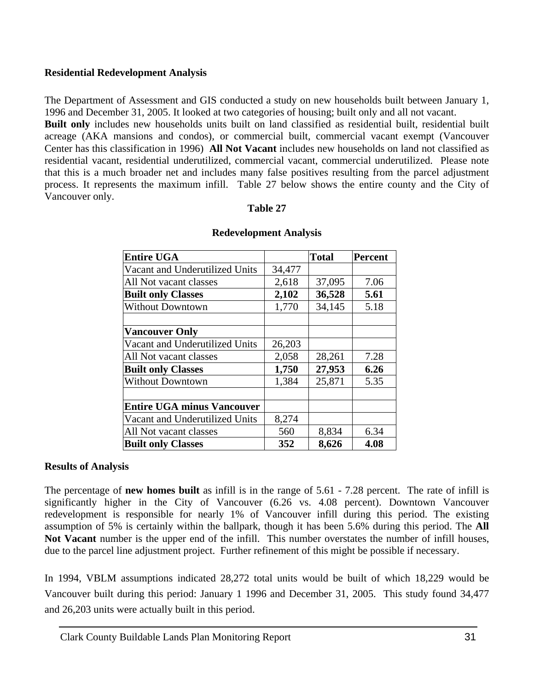### <span id="page-32-0"></span>**Residential Redevelopment Analysis**

The Department of Assessment and GIS conducted a study on new households built between January 1, 1996 and December 31, 2005. It looked at two categories of housing; built only and all not vacant.

**Built only** includes new households units built on land classified as residential built, residential built acreage (AKA mansions and condos), or commercial built, commercial vacant exempt (Vancouver Center has this classification in 1996) **All Not Vacant** includes new households on land not classified as residential vacant, residential underutilized, commercial vacant, commercial underutilized. Please note that this is a much broader net and includes many false positives resulting from the parcel adjustment process. It represents the maximum infill. Table 27 below shows the entire county and the City of Vancouver only.

#### **Table 27**

| <b>Entire UGA</b>                 |        | <b>Total</b> | <b>Percent</b> |
|-----------------------------------|--------|--------------|----------------|
| Vacant and Underutilized Units    | 34,477 |              |                |
| All Not vacant classes            | 2,618  | 37,095       | 7.06           |
| <b>Built only Classes</b>         | 2,102  | 36,528       | 5.61           |
| <b>Without Downtown</b>           | 1,770  | 34,145       | 5.18           |
|                                   |        |              |                |
| <b>Vancouver Only</b>             |        |              |                |
| Vacant and Underutilized Units    | 26,203 |              |                |
| All Not vacant classes            | 2,058  | 28,261       | 7.28           |
| <b>Built only Classes</b>         | 1,750  | 27,953       | 6.26           |
| <b>Without Downtown</b>           | 1,384  | 25,871       | 5.35           |
| <b>Entire UGA minus Vancouver</b> |        |              |                |
| Vacant and Underutilized Units    | 8,274  |              |                |
| All Not vacant classes            | 560    | 8,834        | 6.34           |
| <b>Built only Classes</b>         | 352    | 8,626        | 4.08           |

#### **Redevelopment Analysis**

#### **Results of Analysis**

The percentage of **new homes built** as infill is in the range of 5.61 - 7.28 percent. The rate of infill is significantly higher in the City of Vancouver (6.26 vs. 4.08 percent). Downtown Vancouver redevelopment is responsible for nearly 1% of Vancouver infill during this period. The existing assumption of 5% is certainly within the ballpark, though it has been 5.6% during this period. The **All Not Vacant** number is the upper end of the infill. This number overstates the number of infill houses, due to the parcel line adjustment project. Further refinement of this might be possible if necessary.

In 1994, VBLM assumptions indicated 28,272 total units would be built of which 18,229 would be Vancouver built during this period: January 1 1996 and December 31, 2005. This study found 34,477 and 26,203 units were actually built in this period.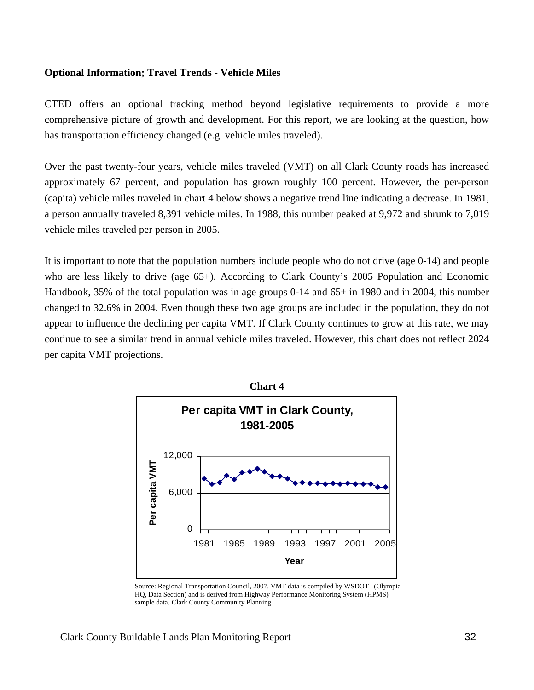#### <span id="page-33-0"></span>**Optional Information; Travel Trends - Vehicle Miles**

CTED offers an optional tracking method beyond legislative requirements to provide a more comprehensive picture of growth and development. For this report, we are looking at the question, how has transportation efficiency changed (e.g. vehicle miles traveled).

Over the past twenty-four years, vehicle miles traveled (VMT) on all Clark County roads has increased approximately 67 percent, and population has grown roughly 100 percent. However, the per-person (capita) vehicle miles traveled in chart 4 below shows a negative trend line indicating a decrease. In 1981, a person annually traveled 8,391 vehicle miles. In 1988, this number peaked at 9,972 and shrunk to 7,019 vehicle miles traveled per person in 2005.

It is important to note that the population numbers include people who do not drive (age 0-14) and people who are less likely to drive (age 65+). According to Clark County's 2005 Population and Economic Handbook, 35% of the total population was in age groups 0-14 and 65+ in 1980 and in 2004, this number changed to 32.6% in 2004. Even though these two age groups are included in the population, they do not appear to influence the declining per capita VMT. If Clark County continues to grow at this rate, we may continue to see a similar trend in annual vehicle miles traveled. However, this chart does not reflect 2024 per capita VMT projections.



Source: Regional Transportation Council, 2007. VMT data is compiled by WSDOT (Olympia HQ, Data Section) and is derived from Highway Performance Monitoring System (HPMS) sample data. Clark County Community Planning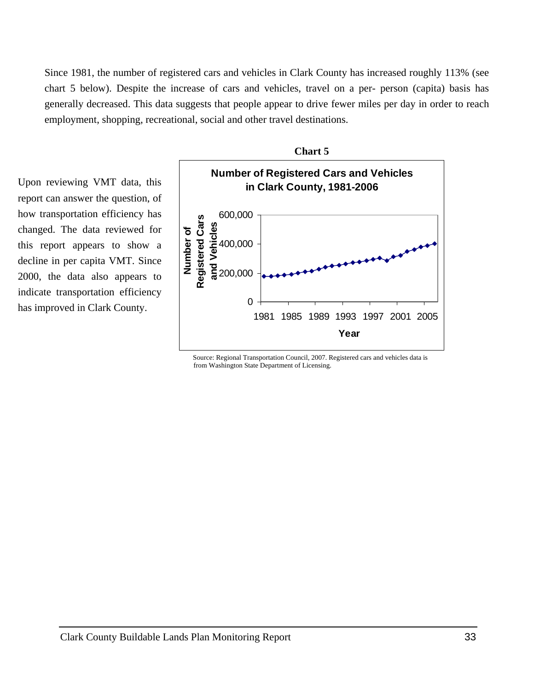Since 1981, the number of registered cars and vehicles in Clark County has increased roughly 113% (see chart 5 below). Despite the increase of cars and vehicles, travel on a per- person (capita) basis has generally decreased. This data suggests that people appear to drive fewer miles per day in order to reach employment, shopping, recreational, social and other travel destinations.

Upon reviewing VMT data, this report can answer the question, of how transportation efficiency has changed. The data reviewed for this report appears to show a decline in per capita VMT. Since 2000, the data also appears to indicate transportation efficiency has improved in Clark County.



**Chart 5** 

 Source: Regional Transportation Council, 2007. Registered cars and vehicles data is from Washington State Department of Licensing.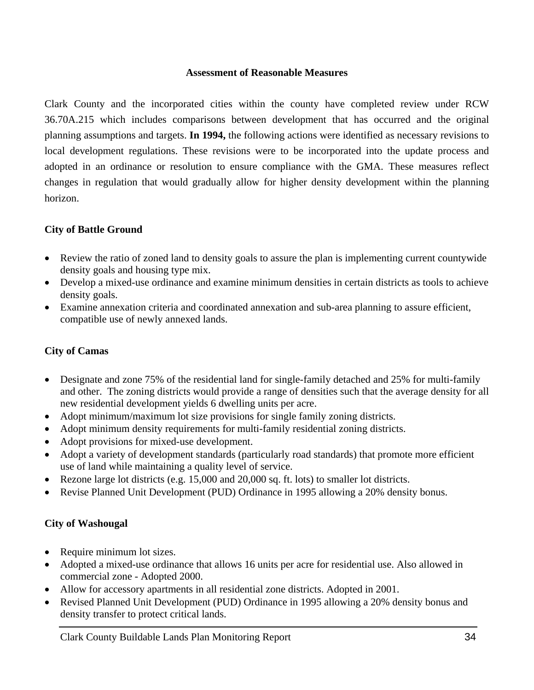#### **Assessment of Reasonable Measures**

<span id="page-35-0"></span>Clark County and the incorporated cities within the county have completed review under RCW 36.70A.215 which includes comparisons between development that has occurred and the original planning assumptions and targets. **In 1994,** the following actions were identified as necessary revisions to local development regulations. These revisions were to be incorporated into the update process and adopted in an ordinance or resolution to ensure compliance with the GMA. These measures reflect changes in regulation that would gradually allow for higher density development within the planning horizon.

### **City of Battle Ground**

- Review the ratio of zoned land to density goals to assure the plan is implementing current countywide density goals and housing type mix.
- Develop a mixed-use ordinance and examine minimum densities in certain districts as tools to achieve density goals.
- Examine annexation criteria and coordinated annexation and sub-area planning to assure efficient, compatible use of newly annexed lands.

### **City of Camas**

- Designate and zone 75% of the residential land for single-family detached and 25% for multi-family and other. The zoning districts would provide a range of densities such that the average density for all new residential development yields 6 dwelling units per acre.
- Adopt minimum/maximum lot size provisions for single family zoning districts.
- Adopt minimum density requirements for multi-family residential zoning districts.
- Adopt provisions for mixed-use development.
- Adopt a variety of development standards (particularly road standards) that promote more efficient use of land while maintaining a quality level of service.
- Rezone large lot districts (e.g. 15,000 and 20,000 sq. ft. lots) to smaller lot districts.
- Revise Planned Unit Development (PUD) Ordinance in 1995 allowing a 20% density bonus.

# **City of Washougal**

- Require minimum lot sizes.
- Adopted a mixed-use ordinance that allows 16 units per acre for residential use. Also allowed in commercial zone - Adopted 2000.
- Allow for accessory apartments in all residential zone districts. Adopted in 2001.
- Revised Planned Unit Development (PUD) Ordinance in 1995 allowing a 20% density bonus and density transfer to protect critical lands.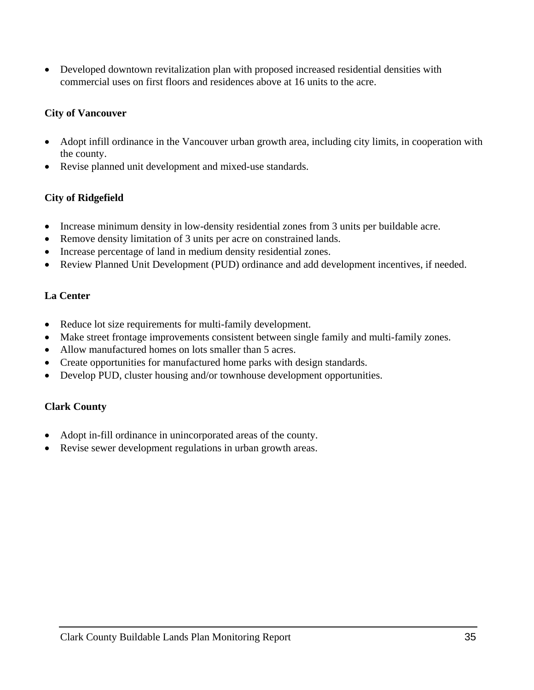• Developed downtown revitalization plan with proposed increased residential densities with commercial uses on first floors and residences above at 16 units to the acre.

# **City of Vancouver**

- Adopt infill ordinance in the Vancouver urban growth area, including city limits, in cooperation with the county.
- Revise planned unit development and mixed-use standards.

# **City of Ridgefield**

- Increase minimum density in low-density residential zones from 3 units per buildable acre.
- Remove density limitation of 3 units per acre on constrained lands.
- Increase percentage of land in medium density residential zones.
- Review Planned Unit Development (PUD) ordinance and add development incentives, if needed.

# **La Center**

- Reduce lot size requirements for multi-family development.
- Make street frontage improvements consistent between single family and multi-family zones.
- Allow manufactured homes on lots smaller than 5 acres.
- Create opportunities for manufactured home parks with design standards.
- Develop PUD, cluster housing and/or townhouse development opportunities.

# **Clark County**

- Adopt in-fill ordinance in unincorporated areas of the county.
- Revise sewer development regulations in urban growth areas.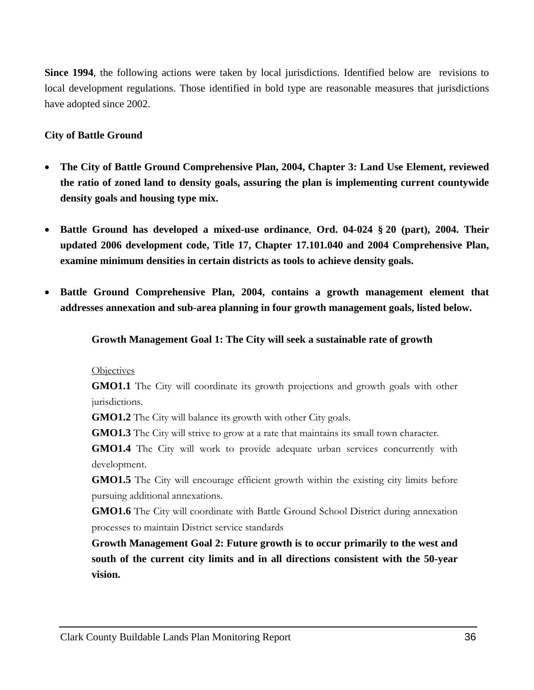**Since 1994**, the following actions were taken by local jurisdictions. Identified below are revisions to local development regulations. Those identified in bold type are reasonable measures that jurisdictions have adopted since 2002.

### **City of Battle Ground**

- **The City of Battle Ground Comprehensive Plan, 2004, Chapter 3: Land Use Element, reviewed the ratio of zoned land to density goals, assuring the plan is implementing current countywide density goals and housing type mix.**
- **Battle Ground has developed a mixed-use ordinance**, **Ord. 04-024 § 20 (part), 2004. Their updated 2006 development code, Title 17, Chapter 17.101.040 and 2004 Comprehensive Plan, examine minimum densities in certain districts as tools to achieve density goals.**
- **Battle Ground Comprehensive Plan, 2004, contains a growth management element that addresses annexation and sub-area planning in four growth management goals, listed below.**

### **Growth Management Goal 1: The City will seek a sustainable rate of growth**

#### **Objectives**

**GMO1.1** The City will coordinate its growth projections and growth goals with other jurisdictions.

**GMO1.2** The City will balance its growth with other City goals.

**GMO1.3** The City will strive to grow at a rate that maintains its small town character.

**GMO1.4** The City will work to provide adequate urban services concurrently with development.

**GMO1.5** The City will encourage efficient growth within the existing city limits before pursuing additional annexations.

**GMO1.6** The City will coordinate with Battle Ground School District during annexation processes to maintain District service standards

**Growth Management Goal 2: Future growth is to occur primarily to the west and south of the current city limits and in all directions consistent with the 50-year vision.**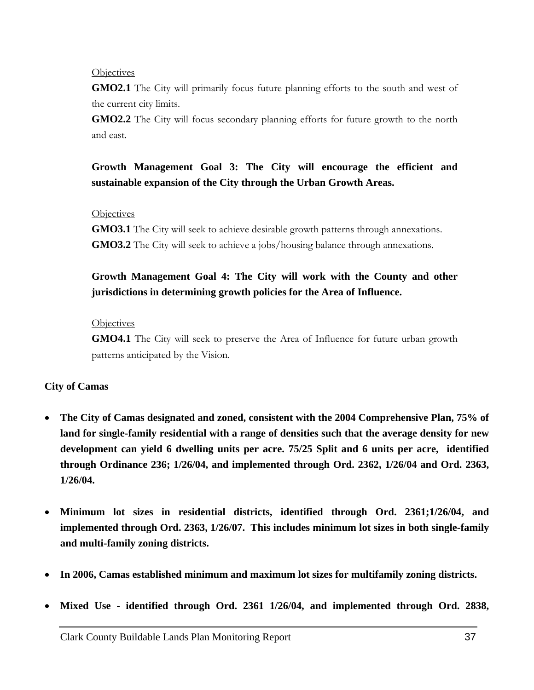#### **Objectives**

**GMO2.1** The City will primarily focus future planning efforts to the south and west of the current city limits.

**GMO2.2** The City will focus secondary planning efforts for future growth to the north and east.

# **Growth Management Goal 3: The City will encourage the efficient and sustainable expansion of the City through the Urban Growth Areas.**

#### **Objectives**

**GMO3.1** The City will seek to achieve desirable growth patterns through annexations. **GMO3.2** The City will seek to achieve a jobs/housing balance through annexations.

# **Growth Management Goal 4: The City will work with the County and other jurisdictions in determining growth policies for the Area of Influence.**

#### **Objectives**

**GMO4.1** The City will seek to preserve the Area of Influence for future urban growth patterns anticipated by the Vision.

#### **City of Camas**

- **The City of Camas designated and zoned, consistent with the 2004 Comprehensive Plan, 75% of land for single-family residential with a range of densities such that the average density for new development can yield 6 dwelling units per acre. 75/25 Split and 6 units per acre, identified through Ordinance 236; 1/26/04, and implemented through Ord. 2362, 1/26/04 and Ord. 2363, 1/26/04.**
- **Minimum lot sizes in residential districts, identified through Ord. 2361;1/26/04, and implemented through Ord. 2363, 1/26/07. This includes minimum lot sizes in both single-family and multi-family zoning districts.**
- **In 2006, Camas established minimum and maximum lot sizes for multifamily zoning districts.**
- **Mixed Use identified through Ord. 2361 1/26/04, and implemented through Ord. 2838,**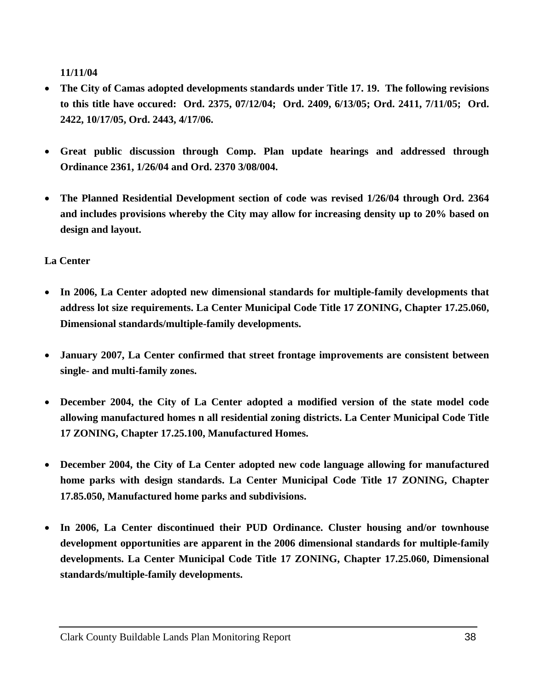**11/11/04** 

- **The City of Camas adopted developments standards under Title 17. 19. The following revisions to this title have occured: Ord. 2375, 07/12/04; Ord. 2409, 6/13/05; Ord. 2411, 7/11/05; Ord. 2422, 10/17/05, Ord. 2443, 4/17/06.**
- **Great public discussion through Comp. Plan update hearings and addressed through Ordinance 2361, 1/26/04 and Ord. 2370 3/08/004.**
- **The Planned Residential Development section of code was revised 1/26/04 through Ord. 2364 and includes provisions whereby the City may allow for increasing density up to 20% based on design and layout.**

**La Center** 

- **In 2006, La Center adopted new dimensional standards for multiple-family developments that address lot size requirements. La Center Municipal Code Title 17 ZONING, Chapter 17.25.060, Dimensional standards/multiple-family developments.**
- **January 2007, La Center confirmed that street frontage improvements are consistent between single- and multi-family zones.**
- **December 2004, the City of La Center adopted a modified version of the state model code allowing manufactured homes n all residential zoning districts. La Center Municipal Code Title 17 ZONING, Chapter 17.25.100, Manufactured Homes.**
- **December 2004, the City of La Center adopted new code language allowing for manufactured home parks with design standards. La Center Municipal Code Title 17 ZONING, Chapter 17.85.050, Manufactured home parks and subdivisions.**
- **In 2006, La Center discontinued their PUD Ordinance. Cluster housing and/or townhouse development opportunities are apparent in the 2006 dimensional standards for multiple-family developments. La Center Municipal Code Title 17 ZONING, Chapter 17.25.060, Dimensional standards/multiple-family developments.**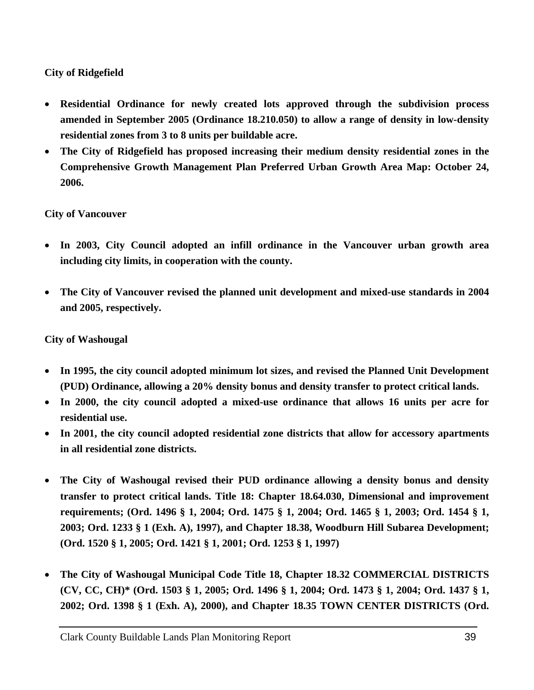# **City of Ridgefield**

- **Residential Ordinance for newly created lots approved through the subdivision process amended in September 2005 (Ordinance 18.210.050) to allow a range of density in low-density residential zones from 3 to 8 units per buildable acre.**
- **The City of Ridgefield has proposed increasing their medium density residential zones in the Comprehensive Growth Management Plan Preferred Urban Growth Area Map: October 24, 2006.**

# **City of Vancouver**

- **In 2003, City Council adopted an infill ordinance in the Vancouver urban growth area including city limits, in cooperation with the county.**
- **The City of Vancouver revised the planned unit development and mixed-use standards in 2004 and 2005, respectively.**

# **City of Washougal**

- **In 1995, the city council adopted minimum lot sizes, and revised the Planned Unit Development (PUD) Ordinance, allowing a 20% density bonus and density transfer to protect critical lands.**
- **In 2000, the city council adopted a mixed-use ordinance that allows 16 units per acre for residential use.**
- **In 2001, the city council adopted residential zone districts that allow for accessory apartments in all residential zone districts.**
- **The City of Washougal revised their PUD ordinance allowing a density bonus and density transfer to protect critical lands. Title 18: Chapter 18.64.030, Dimensional and improvement requirements; (Ord. 1496 § 1, 2004; Ord. 1475 § 1, 2004; Ord. 1465 § 1, 2003; Ord. 1454 § 1, 2003; Ord. 1233 § 1 (Exh. A), 1997), and Chapter 18.38, Woodburn Hill Subarea Development; (Ord. 1520 § 1, 2005; Ord. 1421 § 1, 2001; Ord. 1253 § 1, 1997)**
- **The City of Washougal Municipal Code Title 18, Chapter 18.32 COMMERCIAL DISTRICTS (CV, CC, CH)\* (Ord. 1503 § 1, 2005; Ord. 1496 § 1, 2004; Ord. 1473 § 1, 2004; Ord. 1437 § 1, 2002; Ord. 1398 § 1 (Exh. A), 2000), and Chapter 18.35 TOWN CENTER DISTRICTS (Ord.**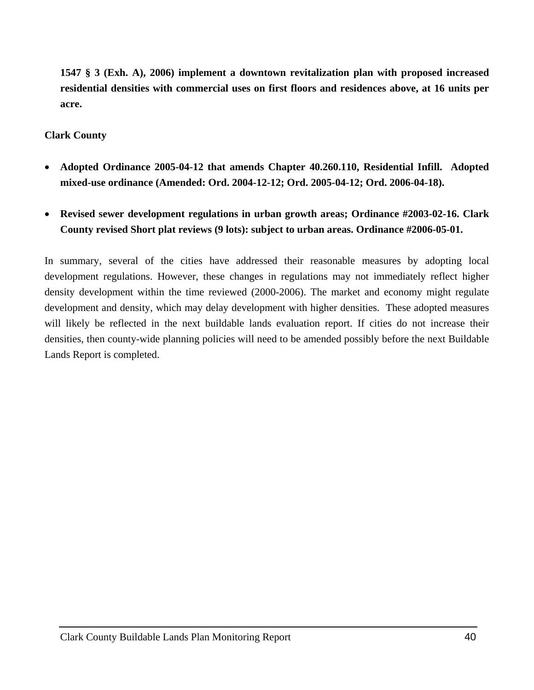**1547 § 3 (Exh. A), 2006) implement a downtown revitalization plan with proposed increased residential densities with commercial uses on first floors and residences above, at 16 units per acre.** 

#### **Clark County**

- **Adopted Ordinance 2005-04-12 that amends Chapter 40.260.110, Residential Infill. Adopted mixed-use ordinance (Amended: Ord. 2004-12-12; Ord. 2005-04-12; Ord. 2006-04-18).**
- **Revised sewer development regulations in urban growth areas; Ordinance #2003-02-16. Clark County revised Short plat reviews (9 lots): subject to urban areas. Ordinance #2006-05-01.**

In summary, several of the cities have addressed their reasonable measures by adopting local development regulations. However, these changes in regulations may not immediately reflect higher density development within the time reviewed (2000-2006). The market and economy might regulate development and density, which may delay development with higher densities. These adopted measures will likely be reflected in the next buildable lands evaluation report. If cities do not increase their densities, then county-wide planning policies will need to be amended possibly before the next Buildable Lands Report is completed.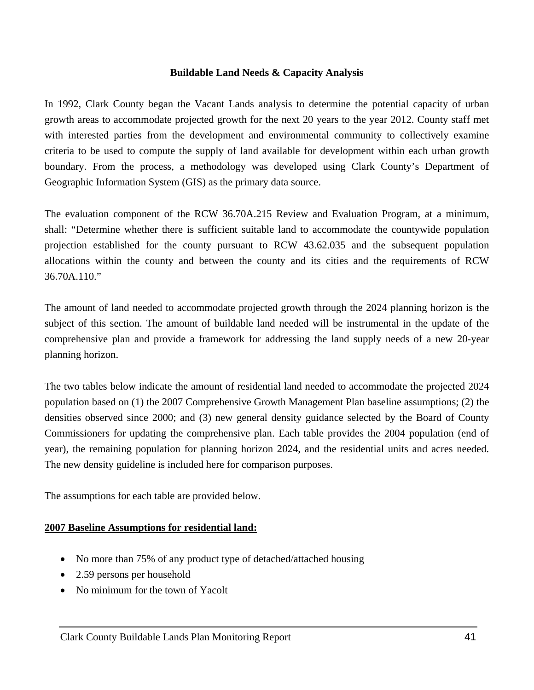#### **Buildable Land Needs & Capacity Analysis**

<span id="page-42-0"></span>In 1992, Clark County began the Vacant Lands analysis to determine the potential capacity of urban growth areas to accommodate projected growth for the next 20 years to the year 2012. County staff met with interested parties from the development and environmental community to collectively examine criteria to be used to compute the supply of land available for development within each urban growth boundary. From the process, a methodology was developed using Clark County's Department of Geographic Information System (GIS) as the primary data source.

The evaluation component of the RCW 36.70A.215 Review and Evaluation Program, at a minimum, shall: "Determine whether there is sufficient suitable land to accommodate the countywide population projection established for the county pursuant to RCW 43.62.035 and the subsequent population allocations within the county and between the county and its cities and the requirements of RCW 36.70A.110."

The amount of land needed to accommodate projected growth through the 2024 planning horizon is the subject of this section. The amount of buildable land needed will be instrumental in the update of the comprehensive plan and provide a framework for addressing the land supply needs of a new 20-year planning horizon.

The two tables below indicate the amount of residential land needed to accommodate the projected 2024 population based on (1) the 2007 Comprehensive Growth Management Plan baseline assumptions; (2) the densities observed since 2000; and (3) new general density guidance selected by the Board of County Commissioners for updating the comprehensive plan. Each table provides the 2004 population (end of year), the remaining population for planning horizon 2024, and the residential units and acres needed. The new density guideline is included here for comparison purposes.

The assumptions for each table are provided below.

#### **2007 Baseline Assumptions for residential land:**

- No more than 75% of any product type of detached/attached housing
- 2.59 persons per household
- No minimum for the town of Yacolt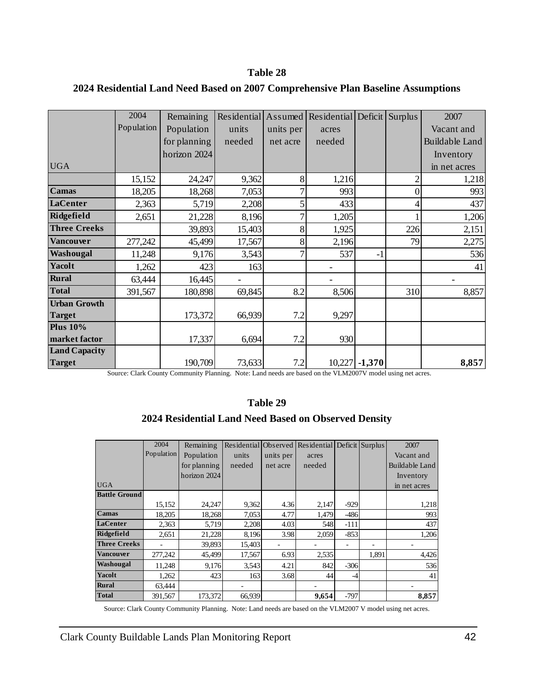#### **Table 28**

|                      | 2004       | Remaining    | Residential Assumed |           | Residential Deficit Surplus |                 |     | 2007                  |
|----------------------|------------|--------------|---------------------|-----------|-----------------------------|-----------------|-----|-----------------------|
|                      | Population | Population   | units               | units per | acres                       |                 |     | Vacant and            |
|                      |            | for planning | needed              | net acre  | needed                      |                 |     | <b>Buildable Land</b> |
|                      |            | horizon 2024 |                     |           |                             |                 |     | Inventory             |
| <b>UGA</b>           |            |              |                     |           |                             |                 |     | in net acres          |
|                      | 15,152     | 24,247       | 9,362               | 8         | 1,216                       |                 | 2   | 1,218                 |
| <b>Camas</b>         | 18,205     | 18,268       | 7,053               |           | 993                         |                 | 0   | 993                   |
| LaCenter             | 2,363      | 5,719        | 2,208               | 5         | 433                         |                 |     | 437                   |
| Ridgefield           | 2,651      | 21,228       | 8,196               |           | 1,205                       |                 |     | 1,206                 |
| <b>Three Creeks</b>  |            | 39,893       | 15,403              | 8         | 1,925                       |                 | 226 | 2,151                 |
| <b>Vancouver</b>     | 277,242    | 45,499       | 17,567              | 8         | 2,196                       |                 | 79  | 2,275                 |
| Washougal            | 11,248     | 9,176        | 3,543               |           | 537                         | $-1$            |     | 536                   |
| <b>Yacolt</b>        | 1,262      | 423          | 163                 |           |                             |                 |     | 41                    |
| <b>Rural</b>         | 63,444     | 16,445       |                     |           |                             |                 |     |                       |
| <b>Total</b>         | 391,567    | 180,898      | 69,845              | 8.2       | 8,506                       |                 | 310 | 8,857                 |
| <b>Urban Growth</b>  |            |              |                     |           |                             |                 |     |                       |
| <b>Target</b>        |            | 173,372      | 66,939              | 7.2       | 9,297                       |                 |     |                       |
| <b>Plus 10%</b>      |            |              |                     |           |                             |                 |     |                       |
| market factor        |            | 17,337       | 6,694               | 7.2       | 930                         |                 |     |                       |
| <b>Land Capacity</b> |            |              |                     |           |                             |                 |     |                       |
| <b>Target</b>        |            | 190,709      | 73,633              | 7.2       |                             | $10,227$ -1,370 |     | 8,857                 |

### **2024 Residential Land Need Based on 2007 Comprehensive Plan Baseline Assumptions**

Source: Clark County Community Planning. Note: Land needs are based on the VLM2007V model using net acres.

#### **Table 29**

# **2024 Residential Land Need Based on Observed Density**

|                      | 2004       | Remaining    | Residential | Observed <sup>1</sup> | Residential |        | Deficit Surplus | 2007           |
|----------------------|------------|--------------|-------------|-----------------------|-------------|--------|-----------------|----------------|
|                      | Population | Population   | units       | units per             | acres       |        |                 | Vacant and     |
|                      |            | for planning | needed      | net acre              | needed      |        |                 | Buildable Land |
|                      |            | horizon 2024 |             |                       |             |        |                 | Inventory      |
| <b>UGA</b>           |            |              |             |                       |             |        |                 | in net acres   |
| <b>Battle Ground</b> |            |              |             |                       |             |        |                 |                |
|                      | 15,152     | 24,247       | 9,362       | 4.36                  | 2,147       | $-929$ |                 | 1,218          |
| <b>Camas</b>         | 18,205     | 18,268       | 7,053       | 4.77                  | 1,479       | $-486$ |                 | 993            |
| LaCenter             | 2,363      | 5,719        | 2,208       | 4.03                  | 548         | $-111$ |                 | 437            |
| Ridgefield           | 2,651      | 21,228       | 8,196       | 3.98                  | 2,059       | $-853$ |                 | 1,206          |
| <b>Three Creeks</b>  |            | 39,893       | 15,403      |                       |             |        |                 |                |
| <b>Vancouver</b>     | 277,242    | 45,499       | 17,567      | 6.93                  | 2,535       |        | 1,891           | 4,426          |
| Washougal            | 11,248     | 9,176        | 3,543       | 4.21                  | 842         | $-306$ |                 | 536            |
| <b>Yacolt</b>        | 1,262      | 423          | 163         | 3.68                  | 44          | -4     |                 | 41             |
| <b>Rural</b>         | 63,444     |              |             |                       |             |        |                 |                |
| <b>Total</b>         | 391,567    | 173,372      | 66,939      |                       | 9,654       | $-797$ |                 | 8,857          |

Source: Clark County Community Planning. Note: Land needs are based on the VLM2007 V model using net acres.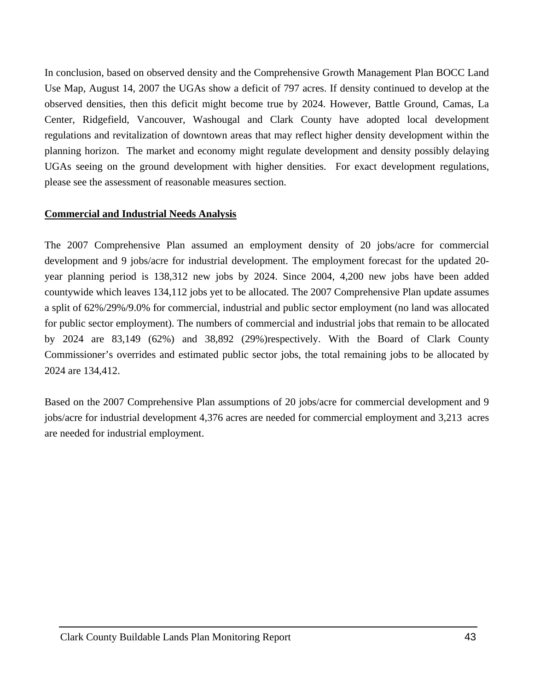In conclusion, based on observed density and the Comprehensive Growth Management Plan BOCC Land Use Map, August 14, 2007 the UGAs show a deficit of 797 acres. If density continued to develop at the observed densities, then this deficit might become true by 2024. However, Battle Ground, Camas, La Center, Ridgefield, Vancouver, Washougal and Clark County have adopted local development regulations and revitalization of downtown areas that may reflect higher density development within the planning horizon. The market and economy might regulate development and density possibly delaying UGAs seeing on the ground development with higher densities. For exact development regulations, please see the assessment of reasonable measures section.

#### **Commercial and Industrial Needs Analysis**

The 2007 Comprehensive Plan assumed an employment density of 20 jobs/acre for commercial development and 9 jobs/acre for industrial development. The employment forecast for the updated 20 year planning period is 138,312 new jobs by 2024. Since 2004, 4,200 new jobs have been added countywide which leaves 134,112 jobs yet to be allocated. The 2007 Comprehensive Plan update assumes a split of 62%/29%/9.0% for commercial, industrial and public sector employment (no land was allocated for public sector employment). The numbers of commercial and industrial jobs that remain to be allocated by 2024 are 83,149 (62%) and 38,892 (29%)respectively. With the Board of Clark County Commissioner's overrides and estimated public sector jobs, the total remaining jobs to be allocated by 2024 are 134,412.

Based on the 2007 Comprehensive Plan assumptions of 20 jobs/acre for commercial development and 9 jobs/acre for industrial development 4,376 acres are needed for commercial employment and 3,213 acres are needed for industrial employment.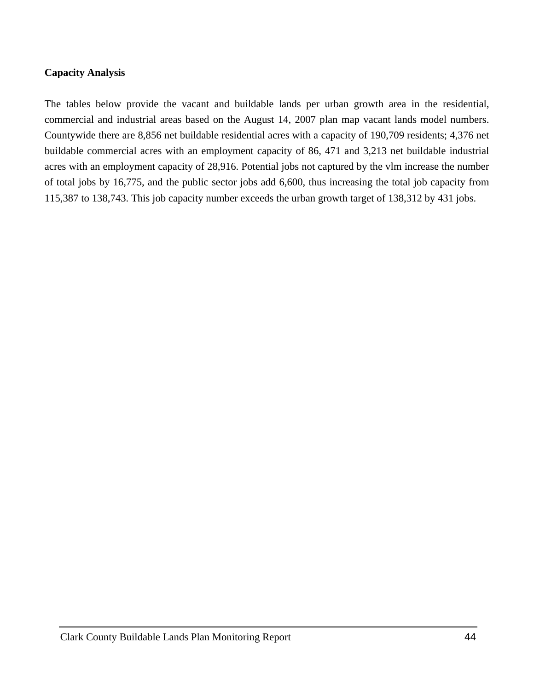#### **Capacity Analysis**

The tables below provide the vacant and buildable lands per urban growth area in the residential, commercial and industrial areas based on the August 14, 2007 plan map vacant lands model numbers. Countywide there are 8,856 net buildable residential acres with a capacity of 190,709 residents; 4,376 net buildable commercial acres with an employment capacity of 86, 471 and 3,213 net buildable industrial acres with an employment capacity of 28,916. Potential jobs not captured by the vlm increase the number of total jobs by 16,775, and the public sector jobs add 6,600, thus increasing the total job capacity from 115,387 to 138,743. This job capacity number exceeds the urban growth target of 138,312 by 431 jobs.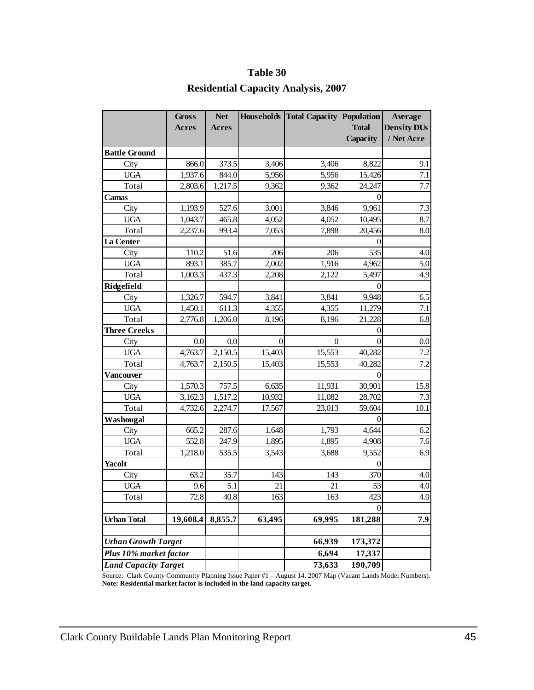#### **Table 30**

# **Residential Capacity Analysis, 2007**

|                                                      | <b>Gross</b>      | <b>Net</b>   | <b>Households</b> | <b>Total Capacity</b> | Population        | Average            |
|------------------------------------------------------|-------------------|--------------|-------------------|-----------------------|-------------------|--------------------|
|                                                      | <b>Acres</b>      | <b>Acres</b> |                   |                       | <b>Total</b>      | <b>Density DUs</b> |
|                                                      |                   |              |                   |                       | Capacity          | / Net Acre         |
| <b>Battle Ground</b>                                 |                   |              |                   |                       |                   |                    |
| City                                                 | 866.0             | 373.5        | 3,406             | 3,406                 | 8,822             | 9.1                |
| <b>UGA</b>                                           | 1,937.6           | 844.0        | 5,956             | 5,956                 | 15,426            | 7.1                |
| Total                                                | 2,803.6           | 1,217.5      | 9,362             | 9,362                 | 24,247            | 7.7                |
| Camas                                                |                   |              |                   |                       | $\theta$          |                    |
| City                                                 | 1,193.9           | 527.6        | 3,001             | 3,846                 | 9,961             | 7.3                |
| <b>UGA</b>                                           | 1,043.7           | 465.8        | 4,052             | 4,052                 | 10,495            | 8.7                |
| Total                                                | 2,237.6           | 993.4        | 7,053             | 7,898                 | 20,456            | 8.0                |
| La Center                                            |                   |              |                   |                       | 0                 |                    |
| City                                                 | 110.2             | 51.6         | 206               | 206                   | 535               | 4.0                |
| <b>UGA</b>                                           | 893.1             | 385.7        | 2,002             | 1,916                 | 4,962             | 5.0                |
| Total                                                | 1,003.3           | 437.3        | 2,208             | 2,122                 | 5,497             | 4.9                |
| Ridgefield                                           |                   |              |                   |                       | $\overline{0}$    |                    |
| City                                                 | 1,326.7           | 594.7        | 3,841             | 3,841                 | 9,948             | 6.5                |
| <b>UGA</b>                                           | 1,450.1           | 611.3        | 4,355             | 4,355                 | 11,279            | 7.1                |
| Total                                                | 2,776.8           | 1,206.0      | 8,196             | 8,196                 | 21,228            | 6.8                |
| <b>Three Creeks</b>                                  |                   |              |                   |                       | 0                 |                    |
| City                                                 | 0.0               | 0.0          | 0                 | 0                     | $\theta$          | 0.0                |
| <b>UGA</b>                                           | 4,763.7           | 2,150.5      | 15,403            | 15,553                | 40,282            | 7.2                |
| Total                                                | 4,763.7           | 2,150.5      | 15,403            | 15,553                | 40,282            | 7.2                |
| Vancouver                                            |                   |              |                   |                       | $\theta$          |                    |
| City                                                 | 1,570.3           | 757.5        | 6,635             | 11,931                | 30,901            | 15.8               |
| <b>UGA</b>                                           | 3,162.3           | 1,517.2      | 10,932            | 11,082                | 28,702            | 7.3                |
| Total                                                | 4,732.6           | 2,274.7      | 17,567            | 23,013                | 59,604            | 10.1               |
| Washougal                                            |                   |              |                   |                       | $\theta$          |                    |
| City                                                 | 665.2             | 287.6        | 1,648             | 1,793                 | 4,644             | 6.2                |
| <b>UGA</b>                                           | 552.8             | 247.9        | 1,895             | 1,895                 | 4,908             | 7.6                |
| Total                                                | 1,218.0           | 535.5        | 3,543             | 3,688                 | 9,552             | 6.9                |
| Yacolt                                               |                   |              |                   |                       | $\overline{0}$    |                    |
| City                                                 | 63.2              | 35.7         | 143               | 143                   | 370               | 4.0                |
| <b>UGA</b>                                           | 9.6               | 5.1          | 21                | 21                    | 53                | 4.0                |
| Total                                                | $\overline{72.8}$ | 40.8         | 163               | 163                   | 423               | 4.0                |
|                                                      |                   |              |                   |                       | 0                 |                    |
| <b>Urban Total</b>                                   | 19,608.4          | 8,855.7      | 63,495            | 69,995                | 181,288           | 7.9                |
|                                                      |                   |              |                   | 66,939                |                   |                    |
| <b>Urban Growth Target</b><br>Plus 10% market factor |                   |              |                   | 6,694                 | 173,372<br>17,337 |                    |
| <b>Land Capacity Target</b>                          |                   |              |                   | 73,633                | 190,709           |                    |
|                                                      |                   |              |                   |                       |                   |                    |

 **Note: Residential market factor is included in the land capacity target.**  Source: Clark County Community Planning Issue Paper #1 – August 14, 2007 Map (Vacant Lands Model Numbers).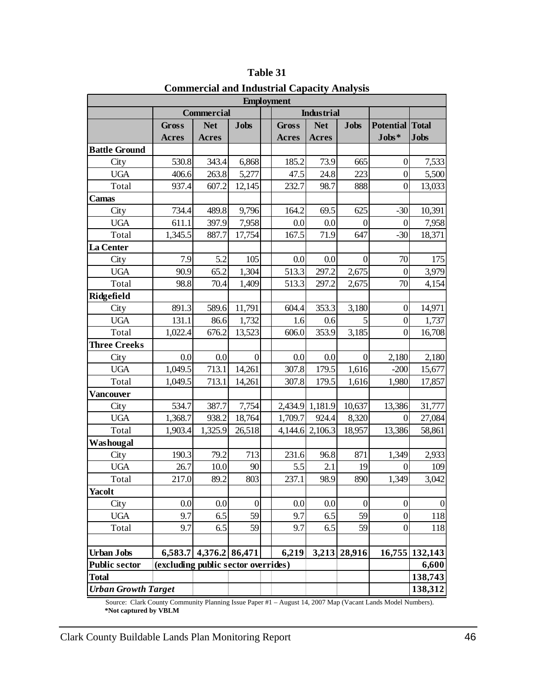| <b>Employment</b>          |                                     |                |                  |  |              |                   |                  |                        |                |  |  |  |
|----------------------------|-------------------------------------|----------------|------------------|--|--------------|-------------------|------------------|------------------------|----------------|--|--|--|
|                            |                                     | Commercial     |                  |  |              | <b>Industrial</b> |                  |                        |                |  |  |  |
|                            | <b>Gross</b>                        | <b>Net</b>     | <b>Jobs</b>      |  | <b>Gross</b> | <b>Net</b>        | <b>Jobs</b>      | <b>Potential Total</b> |                |  |  |  |
|                            | <b>Acres</b>                        | <b>Acres</b>   |                  |  | <b>Acres</b> | <b>Acres</b>      |                  | $Jobs*$                | <b>Jobs</b>    |  |  |  |
| <b>Battle Ground</b>       |                                     |                |                  |  |              |                   |                  |                        |                |  |  |  |
| City                       | 530.8                               | 343.4          | 6,868            |  | 185.2        | 73.9              | 665              | $\boldsymbol{0}$       | 7,533          |  |  |  |
| <b>UGA</b>                 | 406.6                               | 263.8          | 5,277            |  | 47.5         | 24.8              | 223              | $\boldsymbol{0}$       | 5,500          |  |  |  |
| Total                      | 937.4                               | 607.2          | 12,145           |  | 232.7        | 98.7              | 888              | $\boldsymbol{0}$       | 13,033         |  |  |  |
| <b>Camas</b>               |                                     |                |                  |  |              |                   |                  |                        |                |  |  |  |
| City                       | 734.4                               | 489.8          | 9,796            |  | 164.2        | 69.5              | 625              | $-30$                  | 10,391         |  |  |  |
| <b>UGA</b>                 | 611.1                               | 397.9          | 7,958            |  | 0.0          | 0.0               | $\boldsymbol{0}$ | $\boldsymbol{0}$       | 7,958          |  |  |  |
| Total                      | 1,345.5                             | 887.7          | 17,754           |  | 167.5        | 71.9              | 647              | $-30$                  | 18,371         |  |  |  |
| La Center                  |                                     |                |                  |  |              |                   |                  |                        |                |  |  |  |
| City                       | 7.9                                 | 5.2            | 105              |  | 0.0          | 0.0               | $\mathbf{0}$     | 70                     | 175            |  |  |  |
| <b>UGA</b>                 | 90.9                                | 65.2           | 1,304            |  | 513.3        | 297.2             | 2,675            | $\overline{0}$         | 3,979          |  |  |  |
| Total                      | 98.8                                | 70.4           | 1,409            |  | 513.3        | 297.2             | 2,675            | 70                     | 4,154          |  |  |  |
| Ridgefield                 |                                     |                |                  |  |              |                   |                  |                        |                |  |  |  |
| City                       | 891.3                               | 589.6          | 11,791           |  | 604.4        | 353.3             | 3,180            | $\boldsymbol{0}$       | 14,971         |  |  |  |
| <b>UGA</b>                 | 131.1                               | 86.6           | 1,732            |  | 1.6          | 0.6               |                  | $\boldsymbol{0}$       | 1,737          |  |  |  |
| Total                      | 1,022.4                             | 676.2          | 13,523           |  | 606.0        | 353.9             | 3,185            | $\boldsymbol{0}$       | 16,708         |  |  |  |
| <b>Three Creeks</b>        |                                     |                |                  |  |              |                   |                  |                        |                |  |  |  |
| City                       | 0.0                                 | 0.0            | $\overline{0}$   |  | 0.0          | 0.0               | $\mathbf{0}$     | 2,180                  | 2,180          |  |  |  |
| <b>UGA</b>                 | 1,049.5                             | 713.1          | 14,261           |  | 307.8        | 179.5             | 1,616            | $-200$                 | 15,677         |  |  |  |
| Total                      | 1,049.5                             | 713.1          | 14,261           |  | 307.8        | 179.5             | 1,616            | 1,980                  | 17,857         |  |  |  |
| <b>Vancouver</b>           |                                     |                |                  |  |              |                   |                  |                        |                |  |  |  |
| City                       | 534.7                               | 387.7          | 7,754            |  | 2,434.9      | 1,181.9           | 10,637           | 13,386                 | 31,777         |  |  |  |
| <b>UGA</b>                 | 1,368.7                             | 938.2          | 18,764           |  | 1,709.7      | 924.4             | 8,320            | $\mathbf{0}$           | 27,084         |  |  |  |
| Total                      | 1,903.4                             | 1,325.9        | 26,518           |  |              | 4,144.6 2,106.3   | 18,957           | 13,386                 | 58,861         |  |  |  |
| Washougal                  |                                     |                |                  |  |              |                   |                  |                        |                |  |  |  |
| City                       | 190.3                               | 79.2           | 713              |  | 231.6        | 96.8              | 871              | 1,349                  | 2,933          |  |  |  |
| <b>UGA</b>                 | 26.7                                | 10.0           | 90               |  | 5.5          | 2.1               | 19               | 0                      | 109            |  |  |  |
| Total                      | 217.0                               | 89.2           | 803              |  | 237.1        | 98.9              | 890              | 1,349                  | 3,042          |  |  |  |
| <b>Yacolt</b>              |                                     |                |                  |  |              |                   |                  |                        |                |  |  |  |
| City                       | 0.0                                 | 0.0            | $\boldsymbol{0}$ |  | 0.0          | 0.0               | $\mathbf{0}$     | $\boldsymbol{0}$       | $\mathbf{0}$   |  |  |  |
| <b>UGA</b>                 | 9.7                                 | 6.5            | 59               |  | 9.7          | 6.5               | 59               | $\boldsymbol{0}$       | 118            |  |  |  |
| Total                      | 9.7                                 | 6.5            | 59               |  | 9.7          | 6.5               | 59               | $\mathbf{0}$           | 118            |  |  |  |
|                            |                                     |                |                  |  |              |                   |                  |                        |                |  |  |  |
| <b>Urban Jobs</b>          | 6,583.7                             | 4,376.2 86,471 |                  |  | 6,219        |                   | 3,213 28,916     |                        | 16,755 132,143 |  |  |  |
| <b>Public sector</b>       | (excluding public sector overrides) |                |                  |  |              |                   |                  |                        | 6,600          |  |  |  |
| <b>Total</b>               |                                     |                |                  |  |              |                   |                  |                        | 138,743        |  |  |  |
| <b>Urban Growth Target</b> |                                     |                |                  |  |              |                   |                  |                        | 138,312        |  |  |  |

**Commercial and Industrial Capacity Analysis** 

 Sour ce: Clark County Community Planning Issue Paper #1 – August 14, 2007 Map (Vacant Lands Model Numbers).  **\*Not captured by VBLM**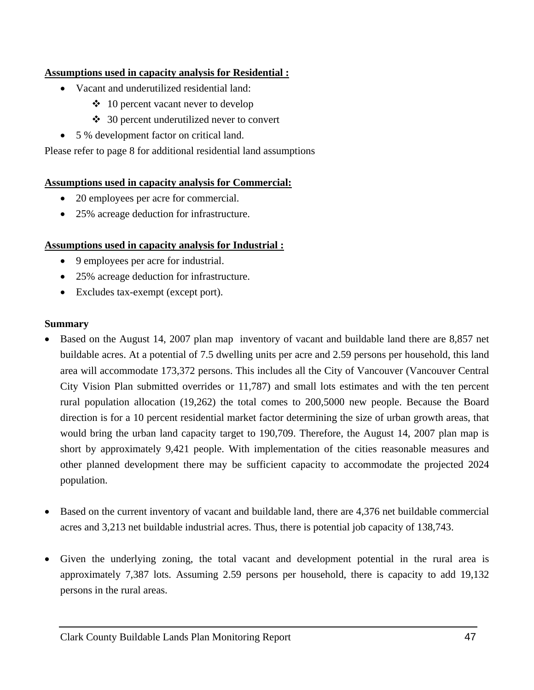### **Assumptions used in capacity analysis for Residential :**

- Vacant and underutilized residential land:
	- $\div$  10 percent vacant never to develop
	- **❖** 30 percent underutilized never to convert
- 5 % development factor on critical land.

Please refer to page 8 for additional residential land assumptions

#### **Assumptions used in capacity analysis for Commercial:**

- 20 employees per acre for commercial.
- 25% acreage deduction for infrastructure.

#### **Assumptions used in capacity analysis for Industrial :**

- 9 employees per acre for industrial.
- 25% acreage deduction for infrastructure.
- Excludes tax-exempt (except port).

#### **Summary**

- Based on the August 14, 2007 plan map inventory of vacant and buildable land there are 8,857 net buildable acres. At a potential of 7.5 dwelling units per acre and 2.59 persons per household, this land area will accommodate 173,372 persons. This includes all the City of Vancouver (Vancouver Central City Vision Plan submitted overrides or 11,787) and small lots estimates and with the ten percent rural population allocation (19,262) the total comes to 200,5000 new people. Because the Board direction is for a 10 percent residential market factor determining the size of urban growth areas, that would bring the urban land capacity target to 190,709. Therefore, the August 14, 2007 plan map is short by approximately 9,421 people. With implementation of the cities reasonable measures and other planned development there may be sufficient capacity to accommodate the projected 2024 population.
- Based on the current inventory of vacant and buildable land, there are 4,376 net buildable commercial acres and 3,213 net buildable industrial acres. Thus, there is potential job capacity of 138,743.
- Given the underlying zoning, the total vacant and development potential in the rural area is approximately 7,387 lots. Assuming 2.59 persons per household, there is capacity to add 19,132 persons in the rural areas.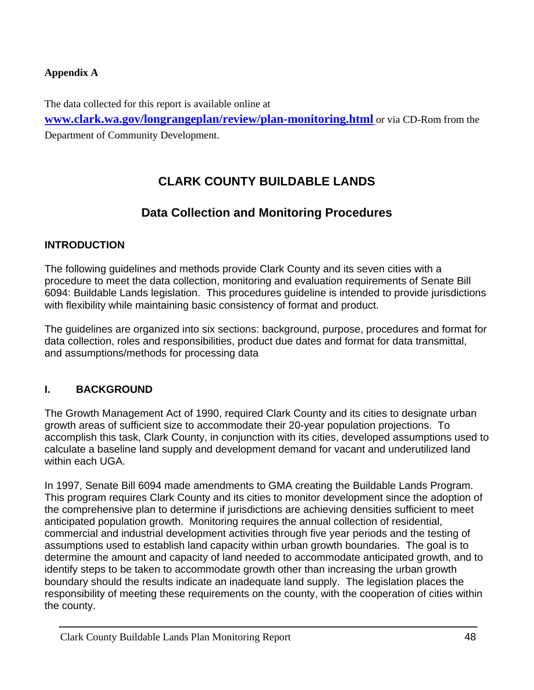# <span id="page-49-0"></span>**Appendix A**

The data collected for this report is available online at **[www.clark.wa.gov/longrangeplan/review/plan-monitoring.html](http://www.clark.wa.gov/longrangeplan/review/plan-monitoring.html)** or via CD-Rom from the Department of Community Development.

# **CLARK COUNTY BUILDABLE LANDS**

# **Data Collection and Monitoring Procedures**

# **INTRODUCTION**

The following guidelines and methods provide Clark County and its seven cities with a procedure to meet the data collection, monitoring and evaluation requirements of Senate Bill 6094: Buildable Lands legislation. This procedures guideline is intended to provide jurisdictions with flexibility while maintaining basic consistency of format and product.

The guidelines are organized into six sections: background, purpose, procedures and format for data collection, roles and responsibilities, product due dates and format for data transmittal, and assumptions/methods for processing data

# **I. BACKGROUND**

The Growth Management Act of 1990, required Clark County and its cities to designate urban growth areas of sufficient size to accommodate their 20-year population projections. To accomplish this task, Clark County, in conjunction with its cities, developed assumptions used to calculate a baseline land supply and development demand for vacant and underutilized land within each UGA.

In 1997, Senate Bill 6094 made amendments to GMA creating the Buildable Lands Program. This program requires Clark County and its cities to monitor development since the adoption of the comprehensive plan to determine if jurisdictions are achieving densities sufficient to meet anticipated population growth. Monitoring requires the annual collection of residential, commercial and industrial development activities through five year periods and the testing of assumptions used to establish land capacity within urban growth boundaries. The goal is to determine the amount and capacity of land needed to accommodate anticipated growth, and to identify steps to be taken to accommodate growth other than increasing the urban growth boundary should the results indicate an inadequate land supply. The legislation places the responsibility of meeting these requirements on the county, with the cooperation of cities within the county.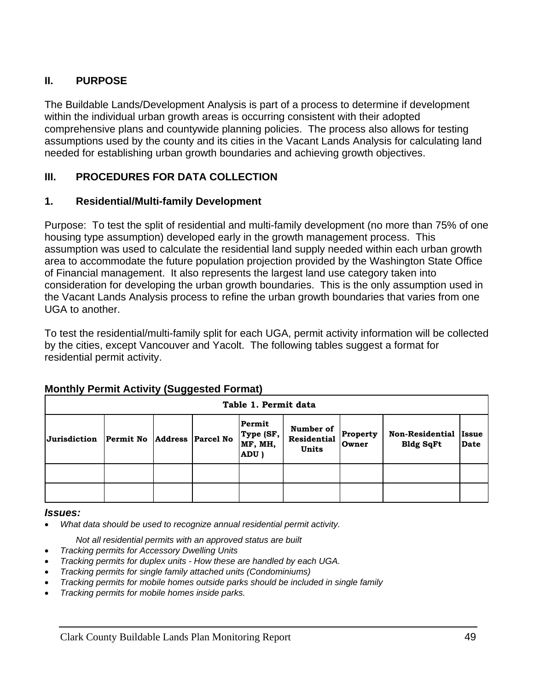# **II. PURPOSE**

The Buildable Lands/Development Analysis is part of a process to determine if development within the individual urban growth areas is occurring consistent with their adopted comprehensive plans and countywide planning policies. The process also allows for testing assumptions used by the county and its cities in the Vacant Lands Analysis for calculating land needed for establishing urban growth boundaries and achieving growth objectives.

# **III. PROCEDURES FOR DATA COLLECTION**

# **1. Residential/Multi-family Development**

Purpose: To test the split of residential and multi-family development (no more than 75% of one housing type assumption) developed early in the growth management process. This assumption was used to calculate the residential land supply needed within each urban growth area to accommodate the future population projection provided by the Washington State Office of Financial management. It also represents the largest land use category taken into consideration for developing the urban growth boundaries. This is the only assumption used in the Vacant Lands Analysis process to refine the urban growth boundaries that varies from one UGA to another.

To test the residential/multi-family split for each UGA, permit activity information will be collected by the cities, except Vancouver and Yacolt. The following tables suggest a format for residential permit activity.

|              |                  |                          | Table 1. Permit data                   |                                   |                          |                                            |                             |
|--------------|------------------|--------------------------|----------------------------------------|-----------------------------------|--------------------------|--------------------------------------------|-----------------------------|
| Jurisdiction | <b>Permit No</b> | <b>Address</b> Parcel No | Permit<br>Type (SF,<br>MF, MH,<br>ADU) | Number of<br>Residential<br>Units | <b>Property</b><br>Owner | <b>Non-Residential</b><br><b>Bldg SqFt</b> | <b>Issue</b><br><b>Date</b> |
|              |                  |                          |                                        |                                   |                          |                                            |                             |
|              |                  |                          |                                        |                                   |                          |                                            |                             |

# **Monthly Permit Activity (Suggested Format)**

#### *Issues:*

• *What data should be used to recognize annual residential permit activity.* 

*Not all residential permits with an approved status are built* 

- *Tracking permits for Accessory Dwelling Units*
- *Tracking permits for duplex units How these are handled by each UGA.*
- *Tracking permits for single family attached units (Condominiums)*
- *Tracking permits for mobile homes outside parks should be included in single family*
- *Tracking permits for mobile homes inside parks.*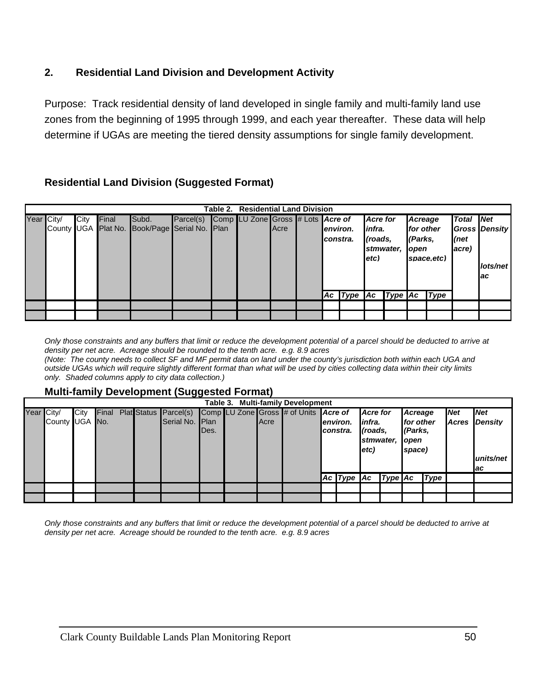# **2. Residential Land Division and Development Activity**

Purpose: Track residential density of land developed in single family and multi-family land use zones from the beginning of 1995 through 1999, and each year thereafter. These data will help determine if UGAs are meeting the tiered density assumptions for single family development.

# **Residential Land Division (Suggested Format)**

|            |      |       |                                               |           | Table 2. Residential Land Division |      |           |                         |                 |  |                |            |                  |                      |      |  |
|------------|------|-------|-----------------------------------------------|-----------|------------------------------------|------|-----------|-------------------------|-----------------|--|----------------|------------|------------------|----------------------|------|--|
| Year City/ | City | Final | Subd.                                         | Parcel(s) | Comp LU Zone Gross # Lots Acre of  |      |           |                         | <b>Acre for</b> |  | Acreage        |            | <b>Total Net</b> |                      |      |  |
|            |      |       | County UGA Plat No. Book/Page Serial No. Plan |           |                                    | Acre | lenviron. |                         | infra.          |  | for other      |            |                  | <b>Gross Density</b> |      |  |
|            |      |       |                                               |           |                                    |      | constra.  |                         | (roads.         |  |                |            | (Parks.          |                      | (net |  |
|            |      |       |                                               |           |                                    |      |           |                         |                 |  | stmwater, open |            | acre)            |                      |      |  |
|            |      |       |                                               |           |                                    |      |           |                         | letc)           |  |                | space.etc) |                  |                      |      |  |
|            |      |       |                                               |           |                                    |      |           |                         |                 |  |                |            |                  | lots/net             |      |  |
|            |      |       |                                               |           |                                    |      |           |                         |                 |  |                |            |                  | ac                   |      |  |
|            |      |       |                                               |           |                                    |      |           | Ac Type Ac Type Ac Type |                 |  |                |            |                  |                      |      |  |
|            |      |       |                                               |           |                                    |      |           |                         |                 |  |                |            |                  |                      |      |  |
|            |      |       |                                               |           |                                    |      |           |                         |                 |  |                |            |                  |                      |      |  |
|            |      |       |                                               |           |                                    |      |           |                         |                 |  |                |            |                  |                      |      |  |

*Only those constraints and any buffers that limit or reduce the development potential of a parcel should be deducted to arrive at density per net acre. Acreage should be rounded to the tenth acre. e.g. 8.9 acres (Note: The county needs to collect SF and MF permit data on land under the county's jurisdiction both within each UGA and* 

*outside UGAs which will require slightly different format than what will be used by cities collecting data within their city limits only. Shaded columns apply to city data collection.)* 

#### **Multi-family Development (Suggested Format)**

|                |      |       |  |                       |                        |  |      | Table 3. Multi-family Development     |                                |                 |                              |         |             |            |            |  |  |  |                                |       |                |
|----------------|------|-------|--|-----------------------|------------------------|--|------|---------------------------------------|--------------------------------|-----------------|------------------------------|---------|-------------|------------|------------|--|--|--|--------------------------------|-------|----------------|
| Year City/     | City | Final |  | Plat Status Parcel(s) |                        |  |      | Comp LU Zone Gross # of Units Acre of |                                | <b>Acre</b> for |                              | Acreage |             | <b>Net</b> | <b>Net</b> |  |  |  |                                |       |                |
| County UGA No. |      |       |  | Serial No.            | <b>I</b> Plan<br>IDes. |  | Acre |                                       | lenviron.<br><b>I</b> constra. | etc)            | (roads,<br>stmwater,<br>open |         | infra.      |            |            |  |  |  | for other<br>(Parks,<br>space) | Acres | <b>Density</b> |
|                |      |       |  |                       |                        |  |      |                                       |                                |                 |                              |         |             |            | units/net  |  |  |  |                                |       |                |
|                |      |       |  |                       |                        |  |      |                                       |                                |                 |                              |         |             |            | lac        |  |  |  |                                |       |                |
|                |      |       |  |                       |                        |  |      |                                       | $AC$ Type $AC$                 |                 | $Type$ $Ac$                  |         | <b>Type</b> |            |            |  |  |  |                                |       |                |
|                |      |       |  |                       |                        |  |      |                                       |                                |                 |                              |         |             |            |            |  |  |  |                                |       |                |
|                |      |       |  |                       |                        |  |      |                                       |                                |                 |                              |         |             |            |            |  |  |  |                                |       |                |

*Only those constraints and any buffers that limit or reduce the development potential of a parcel should be deducted to arrive at density per net acre. Acreage should be rounded to the tenth acre. e.g. 8.9 acres*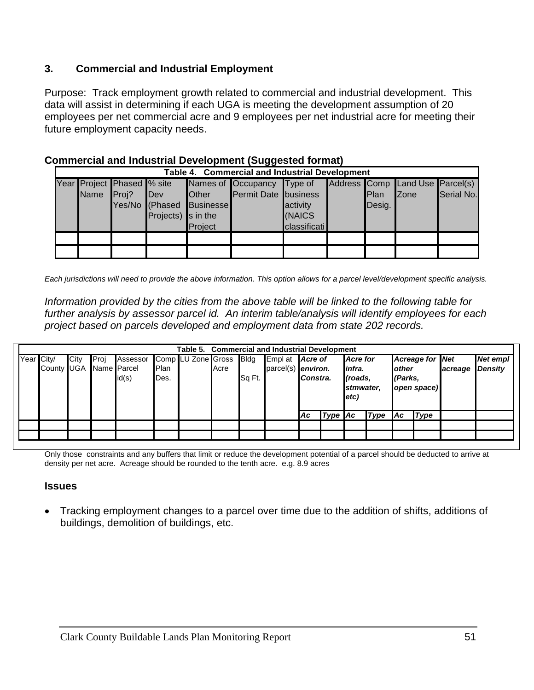# **3. Commercial and Industrial Employment**

Purpose: Track employment growth related to commercial and industrial development. This data will assist in determining if each UGA is meeting the development assumption of 20 employees per net commercial acre and 9 employees per net industrial acre for meeting their future employment capacity needs.

| Table 4. Commercial and Industrial Development |                            |                            |              |                             |              |  |        |                                 |            |  |  |  |  |  |
|------------------------------------------------|----------------------------|----------------------------|--------------|-----------------------------|--------------|--|--------|---------------------------------|------------|--|--|--|--|--|
|                                                | Year Project Phased % site |                            |              | Names of Occupancy Type of  |              |  |        | Address Comp Land Use Parcel(s) |            |  |  |  |  |  |
| <b>Name</b>                                    | Prei?                      | <b>IDev</b>                | <b>Other</b> | <b>Permit Date</b> business |              |  | Plan   | <b>IZone</b>                    | Serial No. |  |  |  |  |  |
|                                                |                            | Yes/No (Phased             | Businesse    |                             | activity     |  | Desig. |                                 |            |  |  |  |  |  |
|                                                |                            | Projects) $\vert$ s in the |              |                             | (NAICS       |  |        |                                 |            |  |  |  |  |  |
|                                                |                            |                            | Project      |                             | classificati |  |        |                                 |            |  |  |  |  |  |
|                                                |                            |                            |              |                             |              |  |        |                                 |            |  |  |  |  |  |
|                                                |                            |                            |              |                             |              |  |        |                                 |            |  |  |  |  |  |

### **Commercial and Industrial Development (Suggested format)**

*Each jurisdictions will need to provide the above information. This option allows for a parcel level/development specific analysis.* 

*Information provided by the cities from the above table will be linked to the following table for further analysis by assessor parcel id. An interim table/analysis will identify employees for each project based on parcels developed and employment data from state 202 records.* 

|            | <b>Commercial and Industrial Development</b><br>Table 5. |      |               |          |      |                         |      |        |                    |          |         |                   |             |                          |             |                        |                |  |          |
|------------|----------------------------------------------------------|------|---------------|----------|------|-------------------------|------|--------|--------------------|----------|---------|-------------------|-------------|--------------------------|-------------|------------------------|----------------|--|----------|
| Year City/ |                                                          | City | <b>I</b> Proi | Assessor |      | Comp LU Zone Gross Bldg |      |        | Empl at            | Acre of  |         | infra.<br>(roads, |             | <b>Acre</b> for          |             | <b>Acreage for Net</b> |                |  | Net empl |
|            | County UGA                                               |      | Name Parcel   |          | Plan |                         | Acre |        | parcel(s) environ. |          |         |                   |             | <b>lother</b><br>(Parks, |             | acreage                | <b>Density</b> |  |          |
|            |                                                          |      |               | id(s)    | Des. |                         |      | Sq Ft. |                    | Constra. |         |                   |             |                          |             |                        |                |  |          |
|            |                                                          |      |               |          |      |                         |      |        |                    |          |         | stmwater,         |             | open space)              |             |                        |                |  |          |
|            |                                                          |      |               |          |      |                         |      |        |                    |          |         | $ $ etc $)$       |             |                          |             |                        |                |  |          |
|            |                                                          |      |               |          |      |                         |      |        |                    |          |         |                   |             |                          |             |                        |                |  |          |
|            |                                                          |      |               |          |      |                         |      |        |                    | Ac       | Type Ac |                   | <b>Type</b> | Ac                       | <b>Type</b> |                        |                |  |          |
|            |                                                          |      |               |          |      |                         |      |        |                    |          |         |                   |             |                          |             |                        |                |  |          |
|            |                                                          |      |               |          |      |                         |      |        |                    |          |         |                   |             |                          |             |                        |                |  |          |

Only those constraints and any buffers that limit or reduce the development potential of a parcel should be deducted to arrive at density per net acre. Acreage should be rounded to the tenth acre. e.g. 8.9 acres

#### **Issues**

• Tracking employment changes to a parcel over time due to the addition of shifts, additions of buildings, demolition of buildings, etc.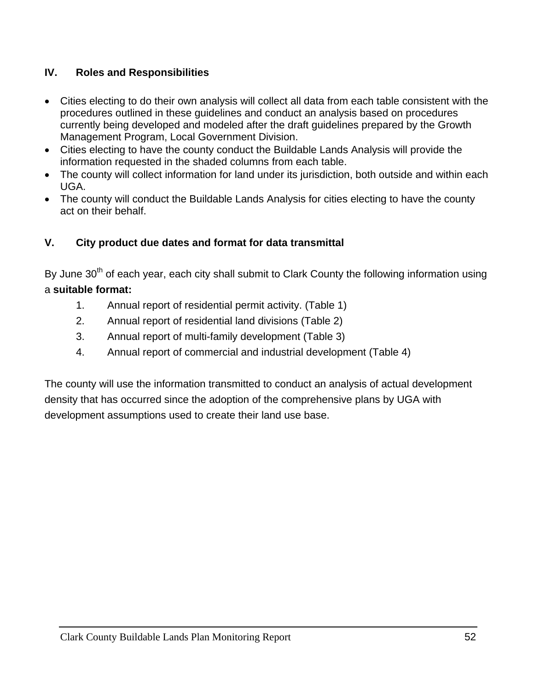# **IV. Roles and Responsibilities**

- Cities electing to do their own analysis will collect all data from each table consistent with the procedures outlined in these guidelines and conduct an analysis based on procedures currently being developed and modeled after the draft guidelines prepared by the Growth Management Program, Local Government Division.
- Cities electing to have the county conduct the Buildable Lands Analysis will provide the information requested in the shaded columns from each table.
- The county will collect information for land under its jurisdiction, both outside and within each UGA.
- The county will conduct the Buildable Lands Analysis for cities electing to have the county act on their behalf.

# **V. City product due dates and format for data transmittal**

By June 30<sup>th</sup> of each year, each city shall submit to Clark County the following information using a **suitable format:** 

- 1. Annual report of residential permit activity. (Table 1)
- 2. Annual report of residential land divisions (Table 2)
- 3. Annual report of multi-family development (Table 3)
- 4. Annual report of commercial and industrial development (Table 4)

The county will use the information transmitted to conduct an analysis of actual development density that has occurred since the adoption of the comprehensive plans by UGA with development assumptions used to create their land use base.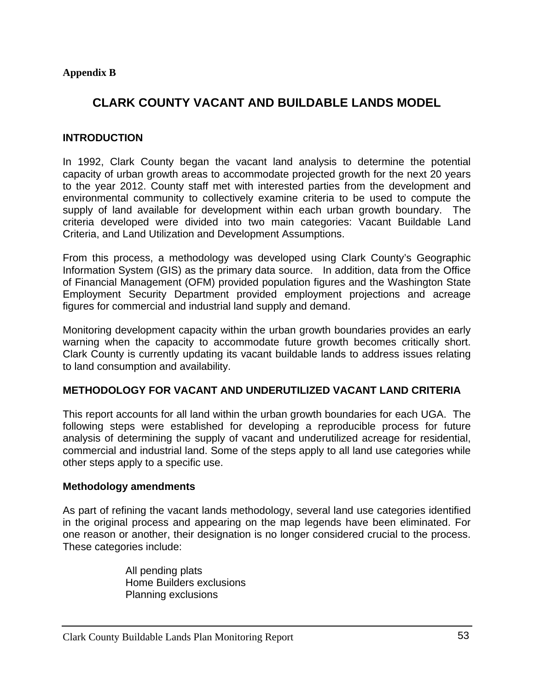## <span id="page-54-0"></span>**Appendix B**

# **CLARK COUNTY VACANT AND BUILDABLE LANDS MODEL**

#### **INTRODUCTION**

In 1992, Clark County began the vacant land analysis to determine the potential capacity of urban growth areas to accommodate projected growth for the next 20 years to the year 2012. County staff met with interested parties from the development and environmental community to collectively examine criteria to be used to compute the supply of land available for development within each urban growth boundary. The criteria developed were divided into two main categories: Vacant Buildable Land Criteria, and Land Utilization and Development Assumptions.

From this process, a methodology was developed using Clark County's Geographic Information System (GIS) as the primary data source. In addition, data from the Office of Financial Management (OFM) provided population figures and the Washington State Employment Security Department provided employment projections and acreage figures for commercial and industrial land supply and demand.

Monitoring development capacity within the urban growth boundaries provides an early warning when the capacity to accommodate future growth becomes critically short. Clark County is currently updating its vacant buildable lands to address issues relating to land consumption and availability.

#### **METHODOLOGY FOR VACANT AND UNDERUTILIZED VACANT LAND CRITERIA**

This report accounts for all land within the urban growth boundaries for each UGA. The following steps were established for developing a reproducible process for future analysis of determining the supply of vacant and underutilized acreage for residential, commercial and industrial land. Some of the steps apply to all land use categories while other steps apply to a specific use.

#### **Methodology amendments**

As part of refining the vacant lands methodology, several land use categories identified in the original process and appearing on the map legends have been eliminated. For one reason or another, their designation is no longer considered crucial to the process. These categories include:

> All pending plats Home Builders exclusions Planning exclusions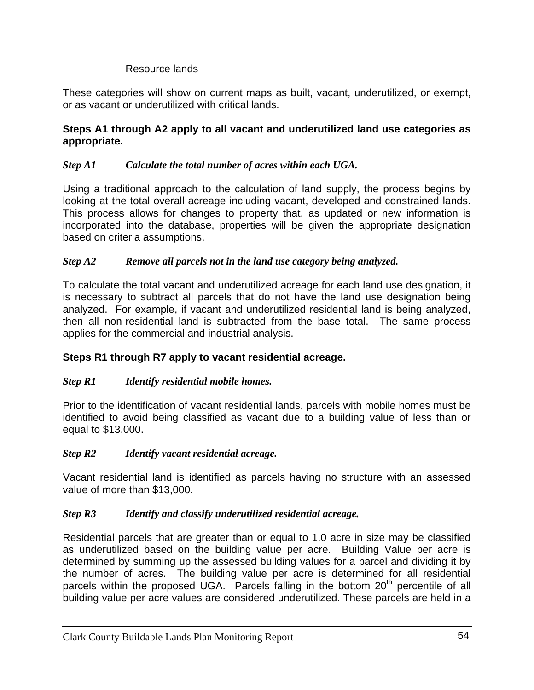# Resource lands

These categories will show on current maps as built, vacant, underutilized, or exempt, or as vacant or underutilized with critical lands.

## **Steps A1 through A2 apply to all vacant and underutilized land use categories as appropriate.**

# *Step A1 Calculate the total number of acres within each UGA.*

Using a traditional approach to the calculation of land supply, the process begins by looking at the total overall acreage including vacant, developed and constrained lands. This process allows for changes to property that, as updated or new information is incorporated into the database, properties will be given the appropriate designation based on criteria assumptions.

### *Step A2 Remove all parcels not in the land use category being analyzed.*

To calculate the total vacant and underutilized acreage for each land use designation, it is necessary to subtract all parcels that do not have the land use designation being analyzed. For example, if vacant and underutilized residential land is being analyzed, then all non-residential land is subtracted from the base total. The same process applies for the commercial and industrial analysis.

# **Steps R1 through R7 apply to vacant residential acreage.**

# *Step R1 Identify residential mobile homes.*

Prior to the identification of vacant residential lands, parcels with mobile homes must be identified to avoid being classified as vacant due to a building value of less than or equal to \$13,000.

#### *Step R2 Identify vacant residential acreage.*

Vacant residential land is identified as parcels having no structure with an assessed value of more than \$13,000.

#### *Step R3 Identify and classify underutilized residential acreage.*

Residential parcels that are greater than or equal to 1.0 acre in size may be classified as underutilized based on the building value per acre. Building Value per acre is determined by summing up the assessed building values for a parcel and dividing it by the number of acres. The building value per acre is determined for all residential parcels within the proposed UGA. Parcels falling in the bottom  $20<sup>th</sup>$  percentile of all building value per acre values are considered underutilized. These parcels are held in a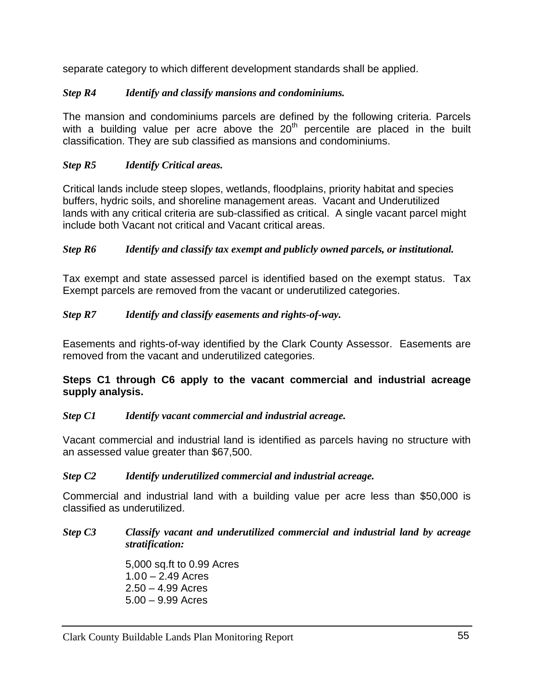separate category to which different development standards shall be applied.

# *Step R4 Identify and classify mansions and condominiums.*

The mansion and condominiums parcels are defined by the following criteria. Parcels with a building value per acre above the  $20<sup>th</sup>$  percentile are placed in the built classification. They are sub classified as mansions and condominiums.

# *Step R5 Identify Critical areas.*

Critical lands include steep slopes, wetlands, floodplains, priority habitat and species buffers, hydric soils, and shoreline management areas. Vacant and Underutilized lands with any critical criteria are sub-classified as critical. A single vacant parcel might include both Vacant not critical and Vacant critical areas.

# *Step R6 Identify and classify tax exempt and publicly owned parcels, or institutional.*

Tax exempt and state assessed parcel is identified based on the exempt status. Tax Exempt parcels are removed from the vacant or underutilized categories.

# *Step R7 Identify and classify easements and rights-of-way.*

Easements and rights-of-way identified by the Clark County Assessor. Easements are removed from the vacant and underutilized categories.

# **Steps C1 through C6 apply to the vacant commercial and industrial acreage supply analysis.**

# *Step C1 Identify vacant commercial and industrial acreage.*

Vacant commercial and industrial land is identified as parcels having no structure with an assessed value greater than \$67,500.

# *Step C2 Identify underutilized commercial and industrial acreage.*

Commercial and industrial land with a building value per acre less than \$50,000 is classified as underutilized.

# *Step C3 Classify vacant and underutilized commercial and industrial land by acreage stratification:*

5,000 sq.ft to 0.99 Acres  $1.00 - 2.49$  Acres 2.50 – 4.99 Acres 5.00 – 9.99 Acres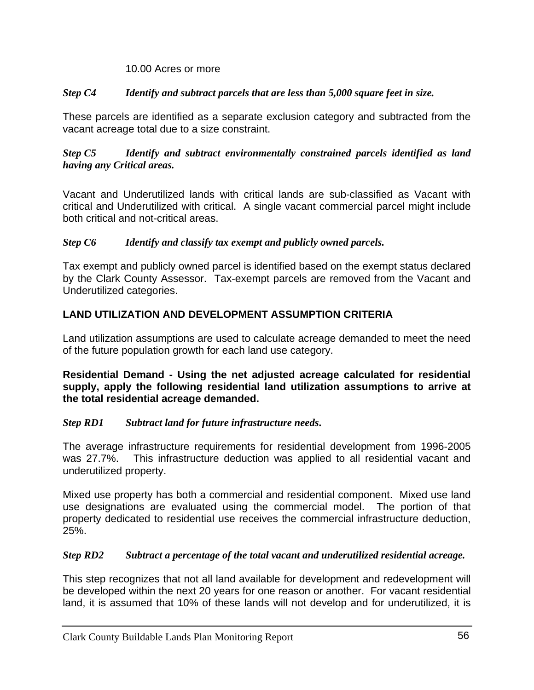### 10.00 Acres or more

# *Step C4 Identify and subtract parcels that are less than 5,000 square feet in size.*

These parcels are identified as a separate exclusion category and subtracted from the vacant acreage total due to a size constraint.

*Step C5 Identify and subtract environmentally constrained parcels identified as land having any Critical areas.* 

Vacant and Underutilized lands with critical lands are sub-classified as Vacant with critical and Underutilized with critical. A single vacant commercial parcel might include both critical and not-critical areas.

### *Step C6 Identify and classify tax exempt and publicly owned parcels.*

Tax exempt and publicly owned parcel is identified based on the exempt status declared by the Clark County Assessor. Tax-exempt parcels are removed from the Vacant and Underutilized categories.

# **LAND UTILIZATION AND DEVELOPMENT ASSUMPTION CRITERIA**

Land utilization assumptions are used to calculate acreage demanded to meet the need of the future population growth for each land use category.

**Residential Demand - Using the net adjusted acreage calculated for residential supply, apply the following residential land utilization assumptions to arrive at the total residential acreage demanded.** 

# *Step RD1 Subtract land for future infrastructure needs***.**

The average infrastructure requirements for residential development from 1996-2005 was 27.7%. This infrastructure deduction was applied to all residential vacant and underutilized property.

Mixed use property has both a commercial and residential component. Mixed use land use designations are evaluated using the commercial model. The portion of that property dedicated to residential use receives the commercial infrastructure deduction, 25%.

# *Step RD2 Subtract a percentage of the total vacant and underutilized residential acreage.*

This step recognizes that not all land available for development and redevelopment will be developed within the next 20 years for one reason or another. For vacant residential land, it is assumed that 10% of these lands will not develop and for underutilized, it is